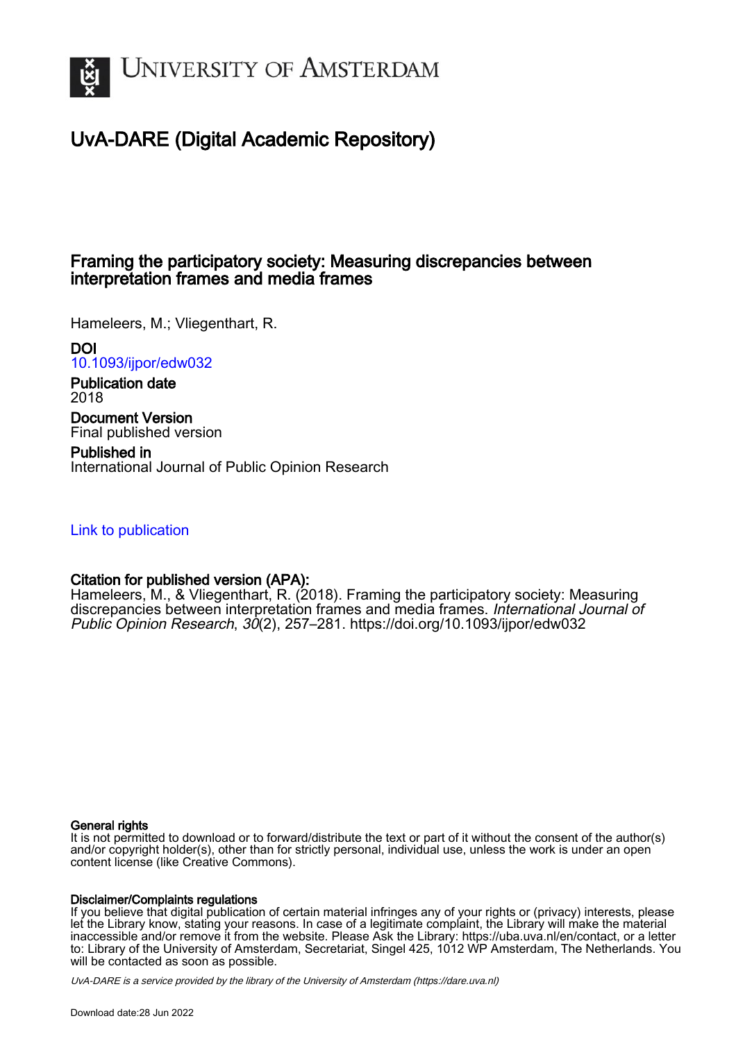

# UvA-DARE (Digital Academic Repository)

# Framing the participatory society: Measuring discrepancies between interpretation frames and media frames

Hameleers, M.; Vliegenthart, R.

DOI

[10.1093/ijpor/edw032](https://doi.org/10.1093/ijpor/edw032)

Publication date 2018

Document Version Final published version

Published in International Journal of Public Opinion Research

# [Link to publication](https://dare.uva.nl/personal/pure/en/publications/framing-the-participatory-society-measuring-discrepancies-between-interpretation-frames-and-media-frames(f92accb0-d81f-45c9-92e7-118cff874d73).html)

# Citation for published version (APA):

Hameleers, M., & Vliegenthart, R. (2018). Framing the participatory society: Measuring discrepancies between interpretation frames and media frames. International Journal of Public Opinion Research, 30(2), 257–281. <https://doi.org/10.1093/ijpor/edw032>

## General rights

It is not permitted to download or to forward/distribute the text or part of it without the consent of the author(s) and/or copyright holder(s), other than for strictly personal, individual use, unless the work is under an open content license (like Creative Commons).

## Disclaimer/Complaints regulations

If you believe that digital publication of certain material infringes any of your rights or (privacy) interests, please let the Library know, stating your reasons. In case of a legitimate complaint, the Library will make the material inaccessible and/or remove it from the website. Please Ask the Library: https://uba.uva.nl/en/contact, or a letter to: Library of the University of Amsterdam, Secretariat, Singel 425, 1012 WP Amsterdam, The Netherlands. You will be contacted as soon as possible.

UvA-DARE is a service provided by the library of the University of Amsterdam (http*s*://dare.uva.nl)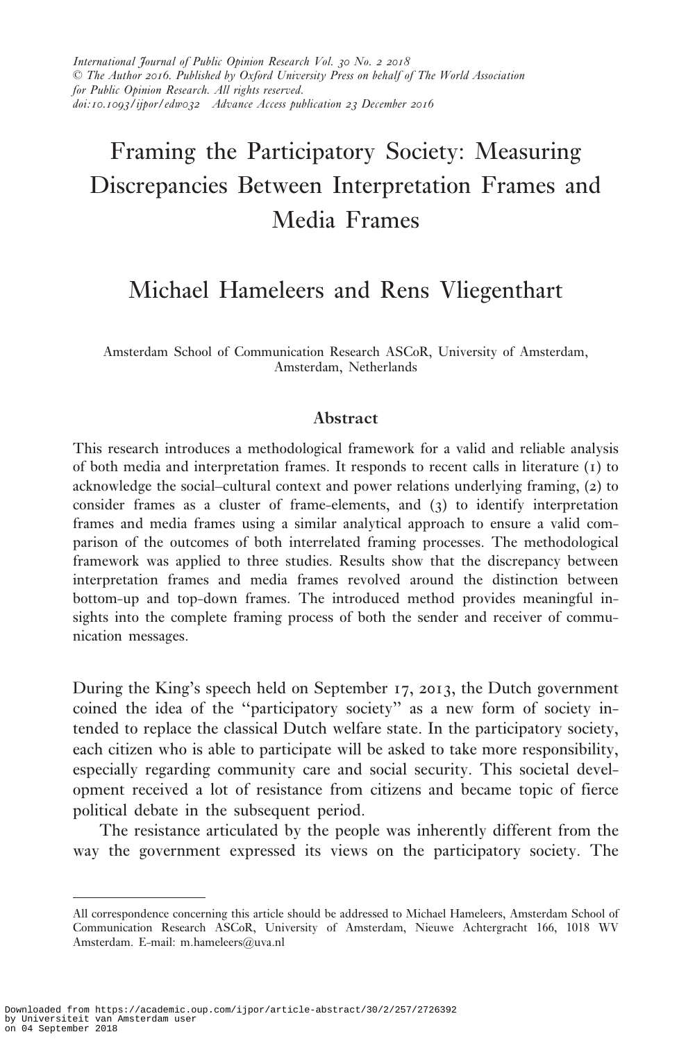# Framing the Participatory Society: Measuring Discrepancies Between Interpretation Frames and Media Frames

# Michael Hameleers and Rens Vliegenthart

Amsterdam School of Communication Research ASCoR, University of Amsterdam, Amsterdam, Netherlands

#### Abstract

This research introduces a methodological framework for a valid and reliable analysis of both media and interpretation frames. It responds to recent calls in literature  $(1)$  to acknowledge the social–cultural context and power relations underlying framing, (2) to consider frames as a cluster of frame-elements, and (3) to identify interpretation frames and media frames using a similar analytical approach to ensure a valid comparison of the outcomes of both interrelated framing processes. The methodological framework was applied to three studies. Results show that the discrepancy between interpretation frames and media frames revolved around the distinction between bottom-up and top-down frames. The introduced method provides meaningful insights into the complete framing process of both the sender and receiver of communication messages.

During the King's speech held on September 17, 2013, the Dutch government coined the idea of the ''participatory society'' as a new form of society intended to replace the classical Dutch welfare state. In the participatory society, each citizen who is able to participate will be asked to take more responsibility, especially regarding community care and social security. This societal development received a lot of resistance from citizens and became topic of fierce political debate in the subsequent period.

The resistance articulated by the people was inherently different from the way the government expressed its views on the participatory society. The

All correspondence concerning this article should be addressed to Michael Hameleers, Amsterdam School of Communication Research ASCoR, University of Amsterdam, Nieuwe Achtergracht 166, 1018 WV Amsterdam. E-mail: m.hameleers@uva.nl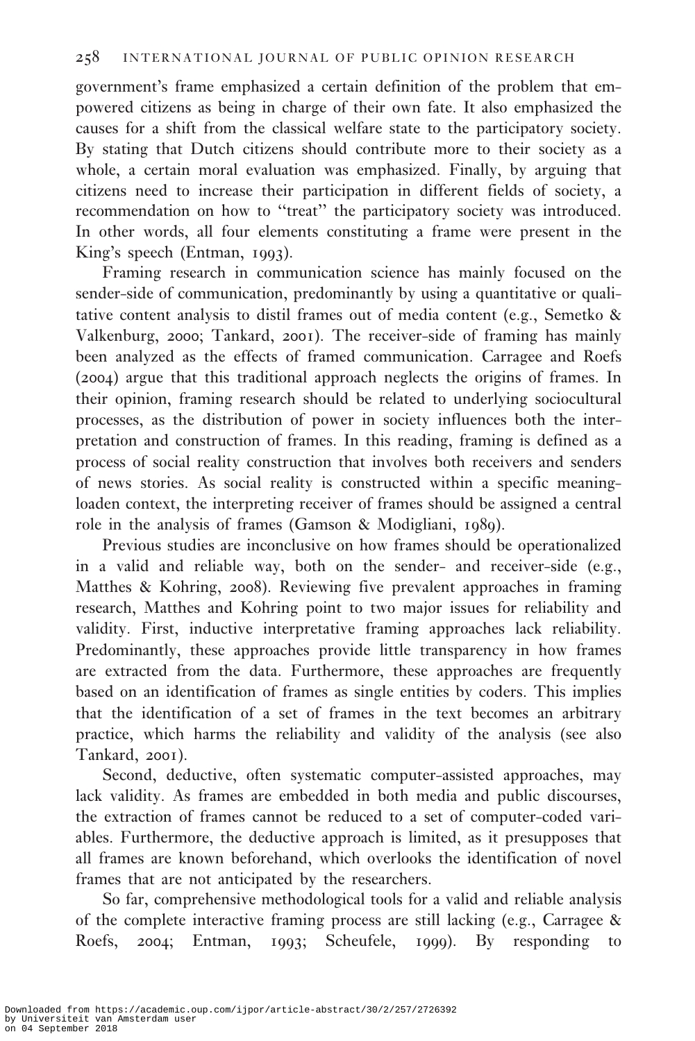government's frame emphasized a certain definition of the problem that empowered citizens as being in charge of their own fate. It also emphasized the causes for a shift from the classical welfare state to the participatory society. By stating that Dutch citizens should contribute more to their society as a whole, a certain moral evaluation was emphasized. Finally, by arguing that citizens need to increase their participation in different fields of society, a recommendation on how to ''treat'' the participatory society was introduced. In other words, all four elements constituting a frame were present in the King's speech [\(Entman,](#page-24-0) 1993).

Framing research in communication science has mainly focused on the sender-side of communication, predominantly by using a quantitative or qualitative content analysis to distil frames out of media content (e.g., [Semetko &](#page-25-0) [Valkenburg,](#page-25-0) 2000; [Tankard,](#page-25-0) 2001). The receiver-side of framing has mainly been analyzed as the effects of framed communication. [Carragee and Roefs](#page-24-0) ([2004](#page-24-0)) argue that this traditional approach neglects the origins of frames. In their opinion, framing research should be related to underlying sociocultural processes, as the distribution of power in society influences both the interpretation and construction of frames. In this reading, framing is defined as a process of social reality construction that involves both receivers and senders of news stories. As social reality is constructed within a specific meaningloaden context, the interpreting receiver of frames should be assigned a central role in the analysis of frames ([Gamson & Modigliani,](#page-24-0) 1989).

Previous studies are inconclusive on how frames should be operationalized in a valid and reliable way, both on the sender- and receiver-side (e.g., [Matthes & Kohring,](#page-24-0) 2008). Reviewing five prevalent approaches in framing research, Matthes and Kohring point to two major issues for reliability and validity. First, inductive interpretative framing approaches lack reliability. Predominantly, these approaches provide little transparency in how frames are extracted from the data. Furthermore, these approaches are frequently based on an identification of frames as single entities by coders. This implies that the identification of a set of frames in the text becomes an arbitrary practice, which harms the reliability and validity of the analysis (see also [Tankard,](#page-25-0) 2001).

Second, deductive, often systematic computer-assisted approaches, may lack validity. As frames are embedded in both media and public discourses, the extraction of frames cannot be reduced to a set of computer-coded variables. Furthermore, the deductive approach is limited, as it presupposes that all frames are known beforehand, which overlooks the identification of novel frames that are not anticipated by the researchers.

So far, comprehensive methodological tools for a valid and reliable analysis of the complete interactive framing process are still lacking (e.g., Carragee  $\&$ [Roefs,](#page-24-0) 2004; [Entman,](#page-24-0) 1993; [Scheufele,](#page-24-0) 1999). By responding to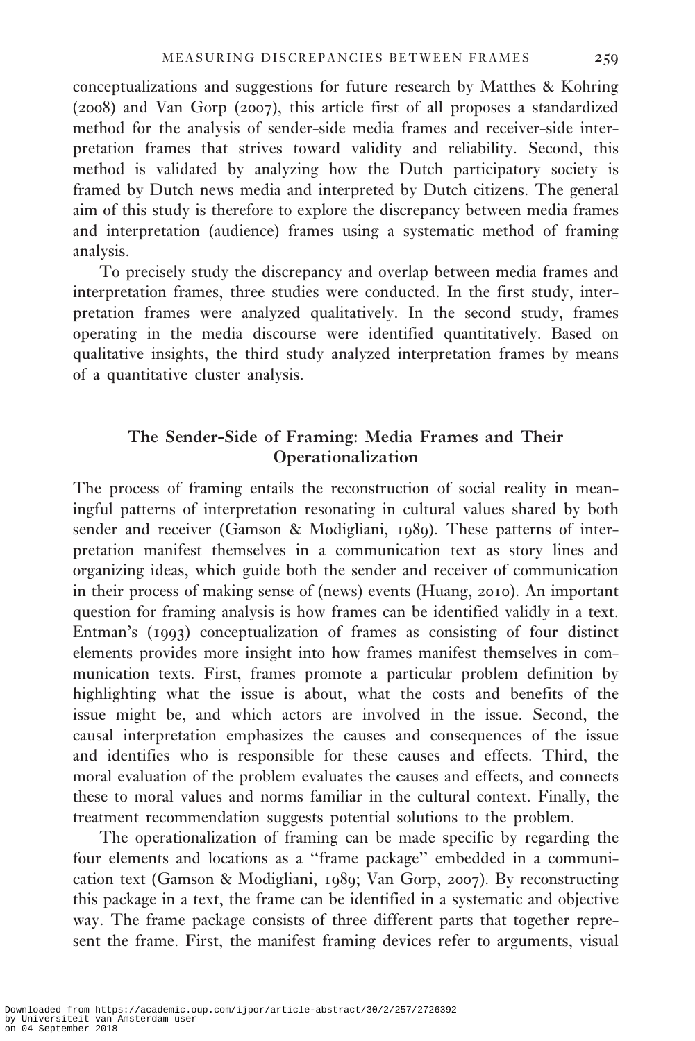conceptualizations and suggestions for future research by [Matthes & Kohring](#page-24-0) ([2008](#page-24-0)) and [Van Gorp \(](#page-25-0)2007), this article first of all proposes a standardized method for the analysis of sender-side media frames and receiver-side interpretation frames that strives toward validity and reliability. Second, this method is validated by analyzing how the Dutch participatory society is framed by Dutch news media and interpreted by Dutch citizens. The general aim of this study is therefore to explore the discrepancy between media frames and interpretation (audience) frames using a systematic method of framing analysis.

To precisely study the discrepancy and overlap between media frames and interpretation frames, three studies were conducted. In the first study, interpretation frames were analyzed qualitatively. In the second study, frames operating in the media discourse were identified quantitatively. Based on qualitative insights, the third study analyzed interpretation frames by means of a quantitative cluster analysis.

## The Sender-Side of Framing: Media Frames and Their Operationalization

The process of framing entails the reconstruction of social reality in meaningful patterns of interpretation resonating in cultural values shared by both sender and receiver [\(Gamson & Modigliani,](#page-24-0) 1989). These patterns of interpretation manifest themselves in a communication text as story lines and organizing ideas, which guide both the sender and receiver of communication in their process of making sense of (news) events [\(Huang,](#page-24-0) 2010). An important question for framing analysis is how frames can be identified validly in a text. [Entman's \(](#page-24-0)1993) conceptualization of frames as consisting of four distinct elements provides more insight into how frames manifest themselves in communication texts. First, frames promote a particular problem definition by highlighting what the issue is about, what the costs and benefits of the issue might be, and which actors are involved in the issue. Second, the causal interpretation emphasizes the causes and consequences of the issue and identifies who is responsible for these causes and effects. Third, the moral evaluation of the problem evaluates the causes and effects, and connects these to moral values and norms familiar in the cultural context. Finally, the treatment recommendation suggests potential solutions to the problem.

The operationalization of framing can be made specific by regarding the four elements and locations as a ''frame package'' embedded in a communication text [\(Gamson & Modigliani,](#page-24-0) 1989; [Van Gorp,](#page-25-0) 2007). By reconstructing this package in a text, the frame can be identified in a systematic and objective way. The frame package consists of three different parts that together represent the frame. First, the manifest framing devices refer to arguments, visual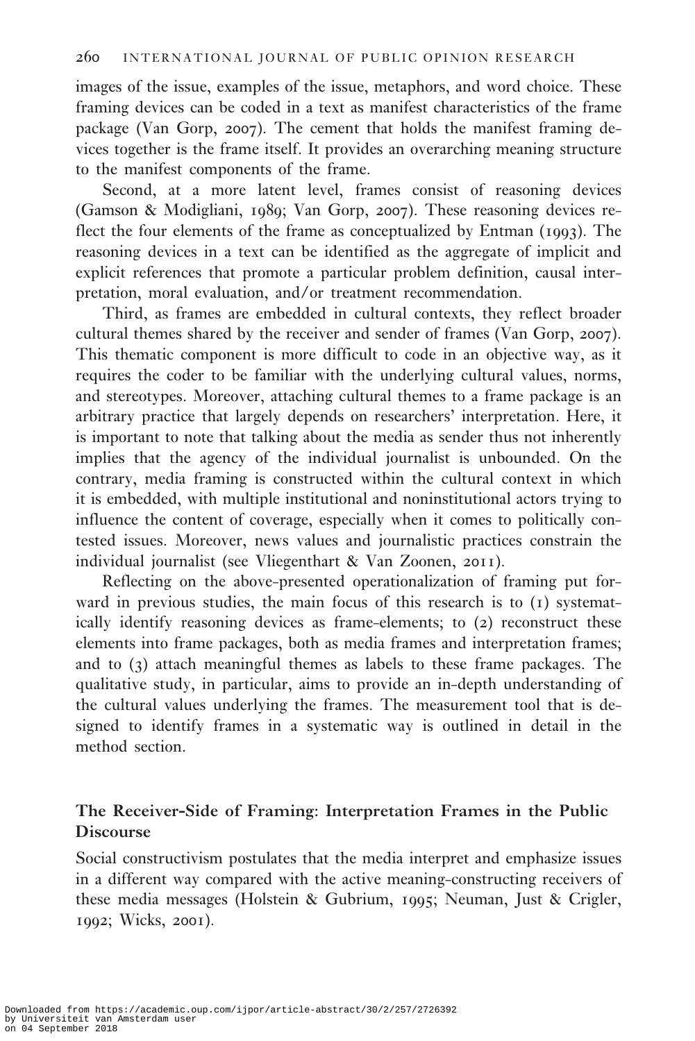images of the issue, examples of the issue, metaphors, and word choice. These framing devices can be coded in a text as manifest characteristics of the frame package [\(Van Gorp,](#page-25-0) 2007). The cement that holds the manifest framing devices together is the frame itself. It provides an overarching meaning structure to the manifest components of the frame.

Second, at a more latent level, frames consist of reasoning devices ([Gamson & Modigliani,](#page-24-0) 1989; [Van Gorp,](#page-25-0) 2007). These reasoning devices reflect the four elements of the frame as conceptualized by [Entman \(](#page-24-0)1993). The reasoning devices in a text can be identified as the aggregate of implicit and explicit references that promote a particular problem definition, causal interpretation, moral evaluation, and/or treatment recommendation.

Third, as frames are embedded in cultural contexts, they reflect broader cultural themes shared by the receiver and sender of frames ([Van Gorp,](#page-25-0) 2007). This thematic component is more difficult to code in an objective way, as it requires the coder to be familiar with the underlying cultural values, norms, and stereotypes. Moreover, attaching cultural themes to a frame package is an arbitrary practice that largely depends on researchers' interpretation. Here, it is important to note that talking about the media as sender thus not inherently implies that the agency of the individual journalist is unbounded. On the contrary, media framing is constructed within the cultural context in which it is embedded, with multiple institutional and noninstitutional actors trying to influence the content of coverage, especially when it comes to politically contested issues. Moreover, news values and journalistic practices constrain the individual journalist (see [Vliegenthart & Van Zoonen,](#page-25-0) 2011).

Reflecting on the above-presented operationalization of framing put forward in previous studies, the main focus of this research is to (1) systematically identify reasoning devices as frame-elements; to (2) reconstruct these elements into frame packages, both as media frames and interpretation frames; and to (3) attach meaningful themes as labels to these frame packages. The qualitative study, in particular, aims to provide an in-depth understanding of the cultural values underlying the frames. The measurement tool that is designed to identify frames in a systematic way is outlined in detail in the method section.

# The Receiver-Side of Framing: Interpretation Frames in the Public **Discourse**

Social constructivism postulates that the media interpret and emphasize issues in a different way compared with the active meaning-constructing receivers of these media messages [\(Holstein & Gubrium,](#page-24-0) 1995; [Neuman, Just & Crigler,](#page-24-0) [1992](#page-24-0); [Wicks,](#page-25-0) 2001).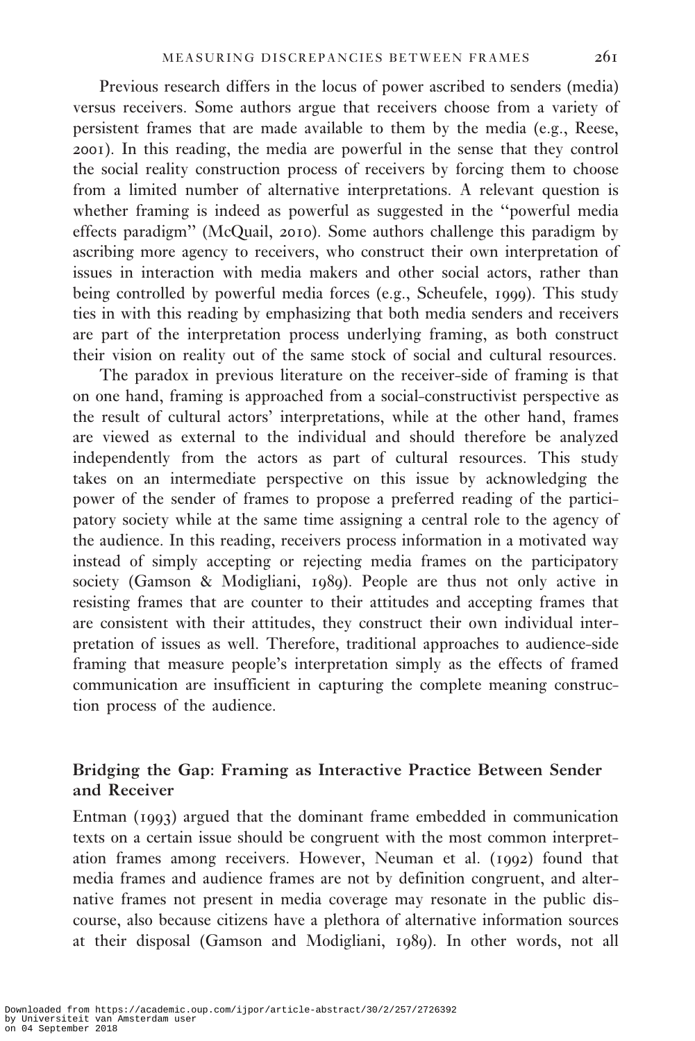Previous research differs in the locus of power ascribed to senders (media) versus receivers. Some authors argue that receivers choose from a variety of persistent frames that are made available to them by the media (e.g., [Reese,](#page-24-0) [2001](#page-24-0)). In this reading, the media are powerful in the sense that they control the social reality construction process of receivers by forcing them to choose from a limited number of alternative interpretations. A relevant question is whether framing is indeed as powerful as suggested in the ''powerful media effects paradigm'' [\(McQuail,](#page-24-0) 2010). Some authors challenge this paradigm by ascribing more agency to receivers, who construct their own interpretation of issues in interaction with media makers and other social actors, rather than being controlled by powerful media forces (e.g., [Scheufele,](#page-24-0) 1999). This study ties in with this reading by emphasizing that both media senders and receivers are part of the interpretation process underlying framing, as both construct their vision on reality out of the same stock of social and cultural resources.

The paradox in previous literature on the receiver-side of framing is that on one hand, framing is approached from a social-constructivist perspective as the result of cultural actors' interpretations, while at the other hand, frames are viewed as external to the individual and should therefore be analyzed independently from the actors as part of cultural resources. This study takes on an intermediate perspective on this issue by acknowledging the power of the sender of frames to propose a preferred reading of the participatory society while at the same time assigning a central role to the agency of the audience. In this reading, receivers process information in a motivated way instead of simply accepting or rejecting media frames on the participatory society [\(Gamson & Modigliani,](#page-24-0) 1989). People are thus not only active in resisting frames that are counter to their attitudes and accepting frames that are consistent with their attitudes, they construct their own individual interpretation of issues as well. Therefore, traditional approaches to audience-side framing that measure people's interpretation simply as the effects of framed communication are insufficient in capturing the complete meaning construction process of the audience.

# Bridging the Gap: Framing as Interactive Practice Between Sender and Receiver

[Entman \(](#page-24-0)1993) argued that the dominant frame embedded in communication texts on a certain issue should be congruent with the most common interpretation frames among receivers. However, [Neuman et al. \(](#page-24-0)1992) found that media frames and audience frames are not by definition congruent, and alternative frames not present in media coverage may resonate in the public discourse, also because citizens have a plethora of alternative information sources at their disposal ([Gamson and Modigliani,](#page-24-0) 1989). In other words, not all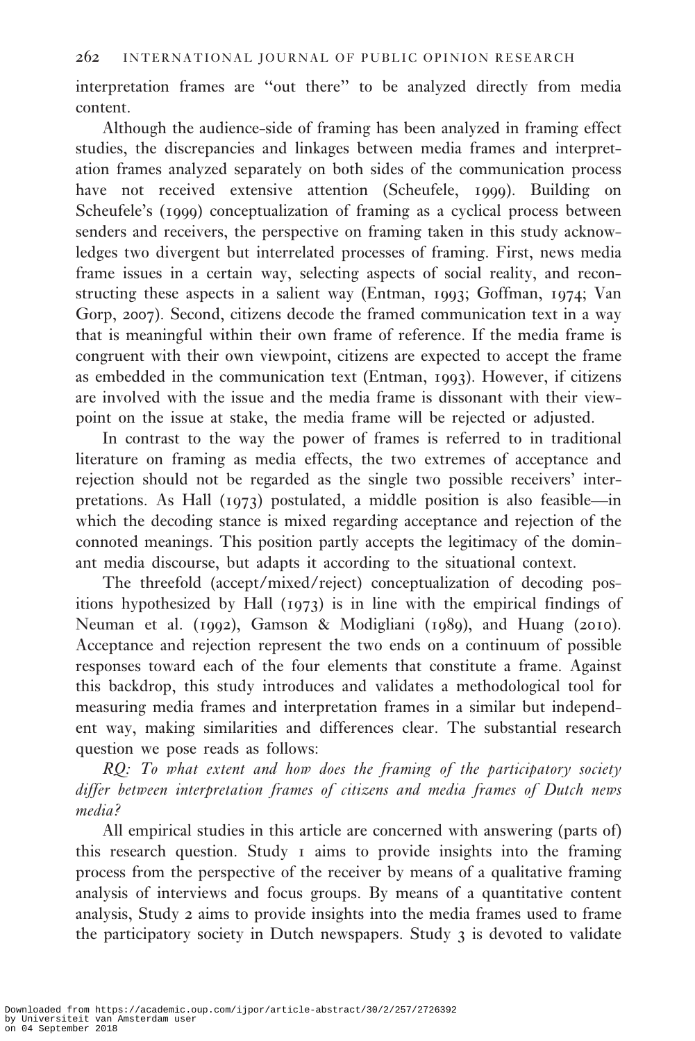interpretation frames are ''out there'' to be analyzed directly from media content.

Although the audience-side of framing has been analyzed in framing effect studies, the discrepancies and linkages between media frames and interpretation frames analyzed separately on both sides of the communication process have not received extensive attention [\(Scheufele,](#page-24-0) 1999). Building on [Scheufele's \(](#page-24-0)1999) conceptualization of framing as a cyclical process between senders and receivers, the perspective on framing taken in this study acknowledges two divergent but interrelated processes of framing. First, news media frame issues in a certain way, selecting aspects of social reality, and reconstructing these aspects in a salient way ([Entman,](#page-24-0) 1993; [Goffman,](#page-24-0) 1974; [Van](#page-25-0) [Gorp,](#page-25-0) 2007). Second, citizens decode the framed communication text in a way that is meaningful within their own frame of reference. If the media frame is congruent with their own viewpoint, citizens are expected to accept the frame as embedded in the communication text ([Entman,](#page-24-0) 1993). However, if citizens are involved with the issue and the media frame is dissonant with their viewpoint on the issue at stake, the media frame will be rejected or adjusted.

In contrast to the way the power of frames is referred to in traditional literature on framing as media effects, the two extremes of acceptance and rejection should not be regarded as the single two possible receivers' interpretations. As [Hall \(](#page-24-0)1973) postulated, a middle position is also feasible—in which the decoding stance is mixed regarding acceptance and rejection of the connoted meanings. This position partly accepts the legitimacy of the dominant media discourse, but adapts it according to the situational context.

The threefold (accept/mixed/reject) conceptualization of decoding positions hypothesized by [Hall \(](#page-24-0)1973) is in line with the empirical findings of [Neuman et al. \(](#page-24-0)1992), [Gamson & Modigliani \(](#page-24-0)1989), and [Huang \(](#page-24-0)2010). Acceptance and rejection represent the two ends on a continuum of possible responses toward each of the four elements that constitute a frame. Against this backdrop, this study introduces and validates a methodological tool for measuring media frames and interpretation frames in a similar but independent way, making similarities and differences clear. The substantial research question we pose reads as follows:

RQ: To what extent and how does the framing of the participatory society differ between interpretation frames of citizens and media frames of Dutch news media?

All empirical studies in this article are concerned with answering (parts of) this research question. Study 1 aims to provide insights into the framing process from the perspective of the receiver by means of a qualitative framing analysis of interviews and focus groups. By means of a quantitative content analysis, Study 2 aims to provide insights into the media frames used to frame the participatory society in Dutch newspapers. Study  $\alpha$  is devoted to validate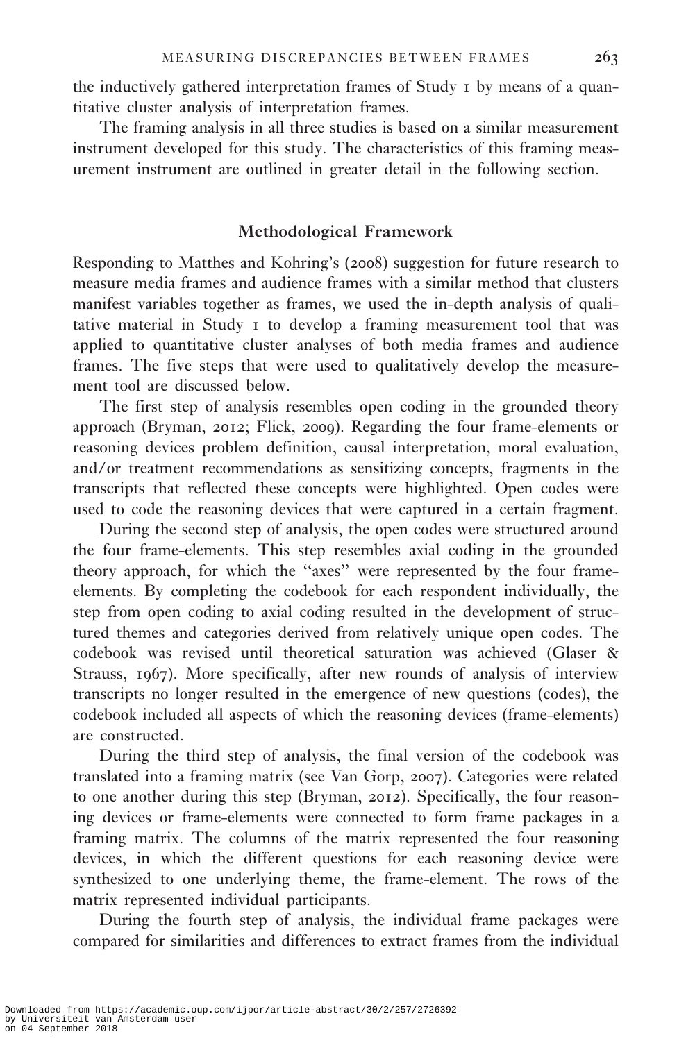the inductively gathered interpretation frames of Study 1 by means of a quantitative cluster analysis of interpretation frames.

The framing analysis in all three studies is based on a similar measurement instrument developed for this study. The characteristics of this framing measurement instrument are outlined in greater detail in the following section.

## Methodological Framework

Responding to [Matthes and Kohring's \(](#page-24-0)2008) suggestion for future research to measure media frames and audience frames with a similar method that clusters manifest variables together as frames, we used the in-depth analysis of qualitative material in Study 1 to develop a framing measurement tool that was applied to quantitative cluster analyses of both media frames and audience frames. The five steps that were used to qualitatively develop the measurement tool are discussed below.

The first step of analysis resembles open coding in the grounded theory approach ([Bryman,](#page-23-0) 2012; [Flick,](#page-24-0) 2009). Regarding the four frame-elements or reasoning devices problem definition, causal interpretation, moral evaluation, and/or treatment recommendations as sensitizing concepts, fragments in the transcripts that reflected these concepts were highlighted. Open codes were used to code the reasoning devices that were captured in a certain fragment.

During the second step of analysis, the open codes were structured around the four frame-elements. This step resembles axial coding in the grounded theory approach, for which the ''axes'' were represented by the four frameelements. By completing the codebook for each respondent individually, the step from open coding to axial coding resulted in the development of structured themes and categories derived from relatively unique open codes. The codebook was revised until theoretical saturation was achieved ([Glaser &](#page-24-0) [Strauss,](#page-24-0) 1967). More specifically, after new rounds of analysis of interview transcripts no longer resulted in the emergence of new questions (codes), the codebook included all aspects of which the reasoning devices (frame-elements) are constructed.

During the third step of analysis, the final version of the codebook was translated into a framing matrix (see [Van Gorp,](#page-25-0) 2007). Categories were related to one another during this step [\(Bryman,](#page-23-0) 2012). Specifically, the four reasoning devices or frame-elements were connected to form frame packages in a framing matrix. The columns of the matrix represented the four reasoning devices, in which the different questions for each reasoning device were synthesized to one underlying theme, the frame-element. The rows of the matrix represented individual participants.

During the fourth step of analysis, the individual frame packages were compared for similarities and differences to extract frames from the individual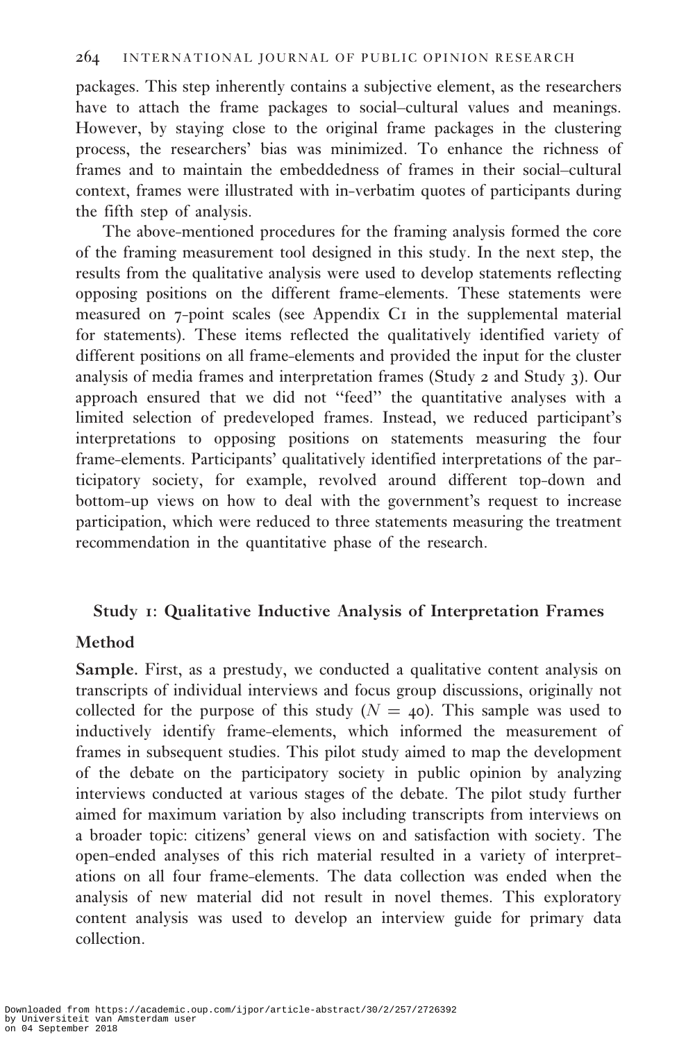packages. This step inherently contains a subjective element, as the researchers have to attach the frame packages to social–cultural values and meanings. However, by staying close to the original frame packages in the clustering process, the researchers' bias was minimized. To enhance the richness of frames and to maintain the embeddedness of frames in their social–cultural context, frames were illustrated with in-verbatim quotes of participants during the fifth step of analysis.

The above-mentioned procedures for the framing analysis formed the core of the framing measurement tool designed in this study. In the next step, the results from the qualitative analysis were used to develop statements reflecting opposing positions on the different frame-elements. These statements were measured on 7-point scales (see Appendix C1 [in the supplemental materia](http://ijpor.oxfordjournals.org/lookup/suppl/doi:10.1093/ijpor/edw032/-/DC1)l for statements). These items reflected the qualitatively identified variety of different positions on all frame-elements and provided the input for the cluster analysis of media frames and interpretation frames (Study 2 and Study 3). Our approach ensured that we did not ''feed'' the quantitative analyses with a limited selection of predeveloped frames. Instead, we reduced participant's interpretations to opposing positions on statements measuring the four frame-elements. Participants' qualitatively identified interpretations of the participatory society, for example, revolved around different top-down and bottom-up views on how to deal with the government's request to increase participation, which were reduced to three statements measuring the treatment recommendation in the quantitative phase of the research.

## Study 1: Qualitative Inductive Analysis of Interpretation Frames

#### Method

Sample. First, as a prestudy, we conducted a qualitative content analysis on transcripts of individual interviews and focus group discussions, originally not collected for the purpose of this study ( $N = 40$ ). This sample was used to inductively identify frame-elements, which informed the measurement of frames in subsequent studies. This pilot study aimed to map the development of the debate on the participatory society in public opinion by analyzing interviews conducted at various stages of the debate. The pilot study further aimed for maximum variation by also including transcripts from interviews on a broader topic: citizens' general views on and satisfaction with society. The open-ended analyses of this rich material resulted in a variety of interpretations on all four frame-elements. The data collection was ended when the analysis of new material did not result in novel themes. This exploratory content analysis was used to develop an interview guide for primary data collection.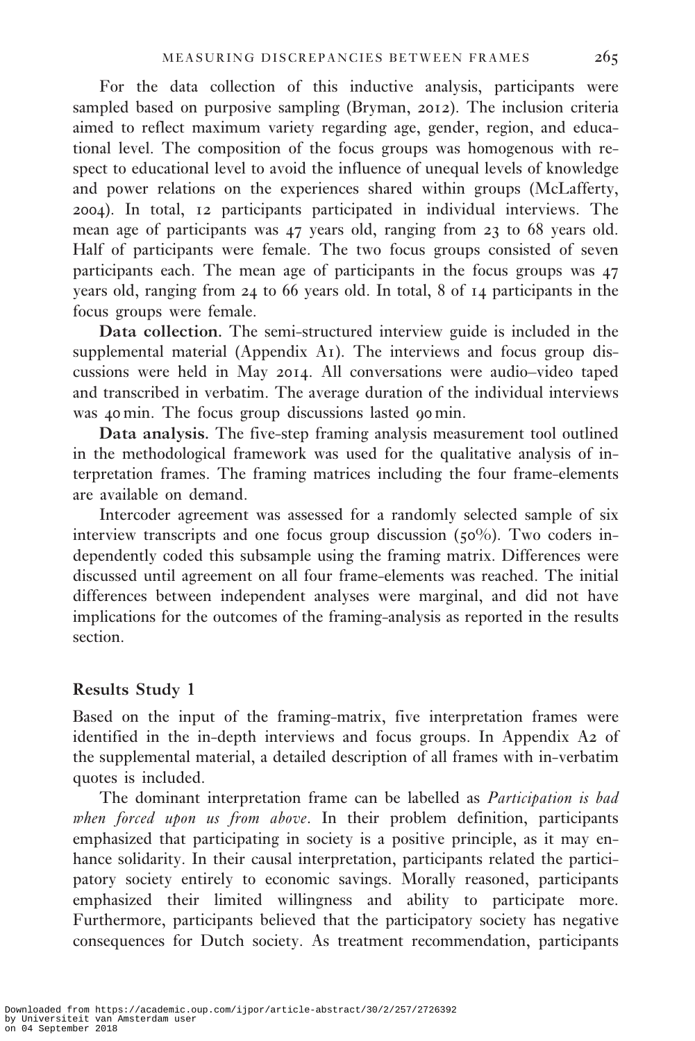For the data collection of this inductive analysis, participants were sampled based on purposive sampling [\(Bryman,](#page-23-0) 2012). The inclusion criteria aimed to reflect maximum variety regarding age, gender, region, and educational level. The composition of the focus groups was homogenous with respect to educational level to avoid the influence of unequal levels of knowledge and power relations on the experiences shared within groups ([McLafferty,](#page-24-0) [2004](#page-24-0)). In total, 12 participants participated in individual interviews. The mean age of participants was 47 years old, ranging from 23 to 68 years old. Half of participants were female. The two focus groups consisted of seven participants each. The mean age of participants in the focus groups was 47 years old, ranging from 24 to 66 years old. In total, 8 of 14 participants in the focus groups were female.

Data collection. The semi-structured interview guide is included in the [supplemental material \(Appendix A](http://ijpor.oxfordjournals.org/lookup/suppl/doi:10.1093/ijpor/edw032/-/DC1)1). The interviews and focus group discussions were held in May 2014. All conversations were audio–video taped and transcribed in verbatim. The average duration of the individual interviews was 40 min. The focus group discussions lasted 90 min.

Data analysis. The five-step framing analysis measurement tool outlined in the methodological framework was used for the qualitative analysis of interpretation frames. The framing matrices including the four frame-elements are available on demand.

Intercoder agreement was assessed for a randomly selected sample of six interview transcripts and one focus group discussion (50%). Two coders independently coded this subsample using the framing matrix. Differences were discussed until agreement on all four frame-elements was reached. The initial differences between independent analyses were marginal, and did not have implications for the outcomes of the framing-analysis as reported in the results section.

#### Results Study 1

Based on the input of the framing-matrix, five interpretation frames were identified in the in-depth interviews and focus groups. In Appendix A2 of the [supplemental material,](http://ijpor.oxfordjournals.org/lookup/suppl/doi:10.1093/ijpor/edw032/-/DC1) a detailed description of all frames with in-verbatim quotes is included.

The dominant interpretation frame can be labelled as *Participation is bad* when forced upon us from above. In their problem definition, participants emphasized that participating in society is a positive principle, as it may enhance solidarity. In their causal interpretation, participants related the participatory society entirely to economic savings. Morally reasoned, participants emphasized their limited willingness and ability to participate more. Furthermore, participants believed that the participatory society has negative consequences for Dutch society. As treatment recommendation, participants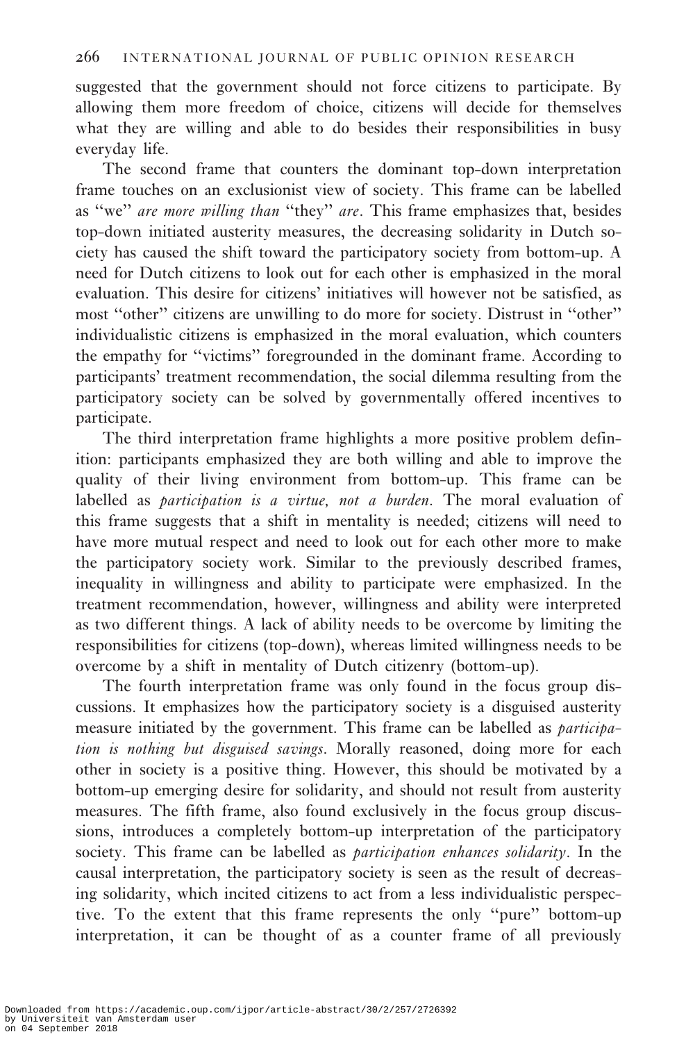suggested that the government should not force citizens to participate. By allowing them more freedom of choice, citizens will decide for themselves what they are willing and able to do besides their responsibilities in busy everyday life.

The second frame that counters the dominant top-down interpretation frame touches on an exclusionist view of society. This frame can be labelled as "we" are more willing than "they" are. This frame emphasizes that, besides top-down initiated austerity measures, the decreasing solidarity in Dutch society has caused the shift toward the participatory society from bottom-up. A need for Dutch citizens to look out for each other is emphasized in the moral evaluation. This desire for citizens' initiatives will however not be satisfied, as most ''other'' citizens are unwilling to do more for society. Distrust in ''other'' individualistic citizens is emphasized in the moral evaluation, which counters the empathy for ''victims'' foregrounded in the dominant frame. According to participants' treatment recommendation, the social dilemma resulting from the participatory society can be solved by governmentally offered incentives to participate.

The third interpretation frame highlights a more positive problem definition: participants emphasized they are both willing and able to improve the quality of their living environment from bottom-up. This frame can be labelled as *participation is a virtue*, not a burden. The moral evaluation of this frame suggests that a shift in mentality is needed; citizens will need to have more mutual respect and need to look out for each other more to make the participatory society work. Similar to the previously described frames, inequality in willingness and ability to participate were emphasized. In the treatment recommendation, however, willingness and ability were interpreted as two different things. A lack of ability needs to be overcome by limiting the responsibilities for citizens (top-down), whereas limited willingness needs to be overcome by a shift in mentality of Dutch citizenry (bottom-up).

The fourth interpretation frame was only found in the focus group discussions. It emphasizes how the participatory society is a disguised austerity measure initiated by the government. This frame can be labelled as participation is nothing but disguised savings. Morally reasoned, doing more for each other in society is a positive thing. However, this should be motivated by a bottom-up emerging desire for solidarity, and should not result from austerity measures. The fifth frame, also found exclusively in the focus group discussions, introduces a completely bottom-up interpretation of the participatory society. This frame can be labelled as *participation enhances solidarity*. In the causal interpretation, the participatory society is seen as the result of decreasing solidarity, which incited citizens to act from a less individualistic perspective. To the extent that this frame represents the only ''pure'' bottom-up interpretation, it can be thought of as a counter frame of all previously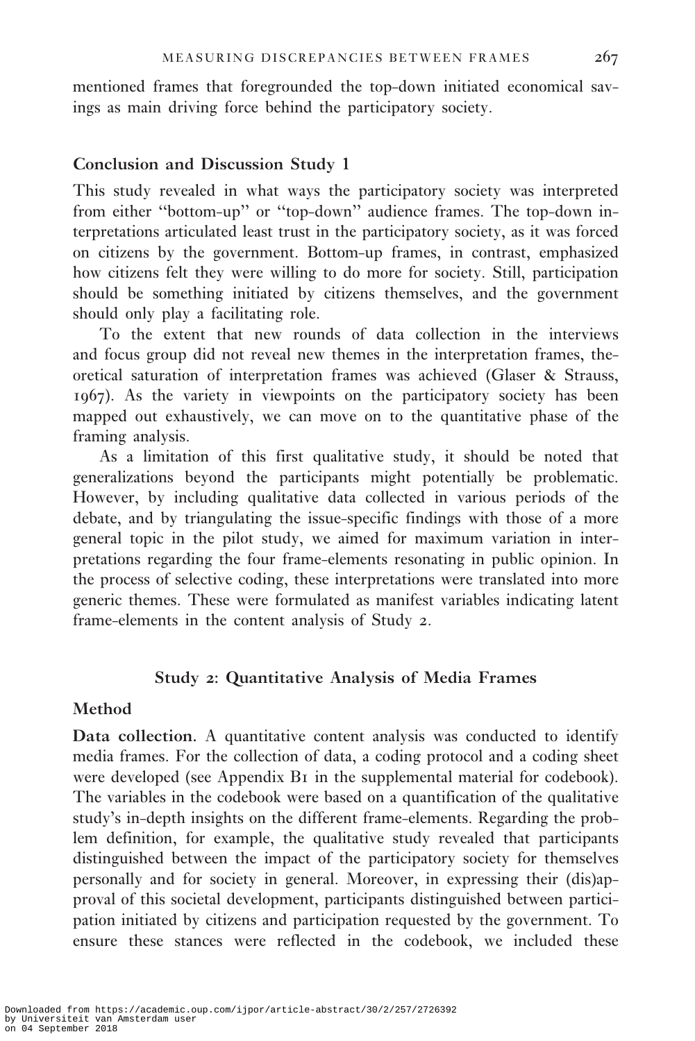mentioned frames that foregrounded the top-down initiated economical savings as main driving force behind the participatory society.

#### Conclusion and Discussion Study 1

This study revealed in what ways the participatory society was interpreted from either ''bottom-up'' or ''top-down'' audience frames. The top-down interpretations articulated least trust in the participatory society, as it was forced on citizens by the government. Bottom-up frames, in contrast, emphasized how citizens felt they were willing to do more for society. Still, participation should be something initiated by citizens themselves, and the government should only play a facilitating role.

To the extent that new rounds of data collection in the interviews and focus group did not reveal new themes in the interpretation frames, theoretical saturation of interpretation frames was achieved ([Glaser & Strauss,](#page-24-0) [1967](#page-24-0)). As the variety in viewpoints on the participatory society has been mapped out exhaustively, we can move on to the quantitative phase of the framing analysis.

As a limitation of this first qualitative study, it should be noted that generalizations beyond the participants might potentially be problematic. However, by including qualitative data collected in various periods of the debate, and by triangulating the issue-specific findings with those of a more general topic in the pilot study, we aimed for maximum variation in interpretations regarding the four frame-elements resonating in public opinion. In the process of selective coding, these interpretations were translated into more generic themes. These were formulated as manifest variables indicating latent frame-elements in the content analysis of Study 2.

#### Study 2: Quantitative Analysis of Media Frames

#### Method

Data collection. A quantitative content analysis was conducted to identify media frames. For the collection of data, a coding protocol and a coding sheet were developed (see Appendix B<sub>1</sub> [in the supplemental material](http://ijpor.oxfordjournals.org/lookup/suppl/doi:10.1093/ijpor/edw032/-/DC1) for codebook). The variables in the codebook were based on a quantification of the qualitative study's in-depth insights on the different frame-elements. Regarding the problem definition, for example, the qualitative study revealed that participants distinguished between the impact of the participatory society for themselves personally and for society in general. Moreover, in expressing their (dis)approval of this societal development, participants distinguished between participation initiated by citizens and participation requested by the government. To ensure these stances were reflected in the codebook, we included these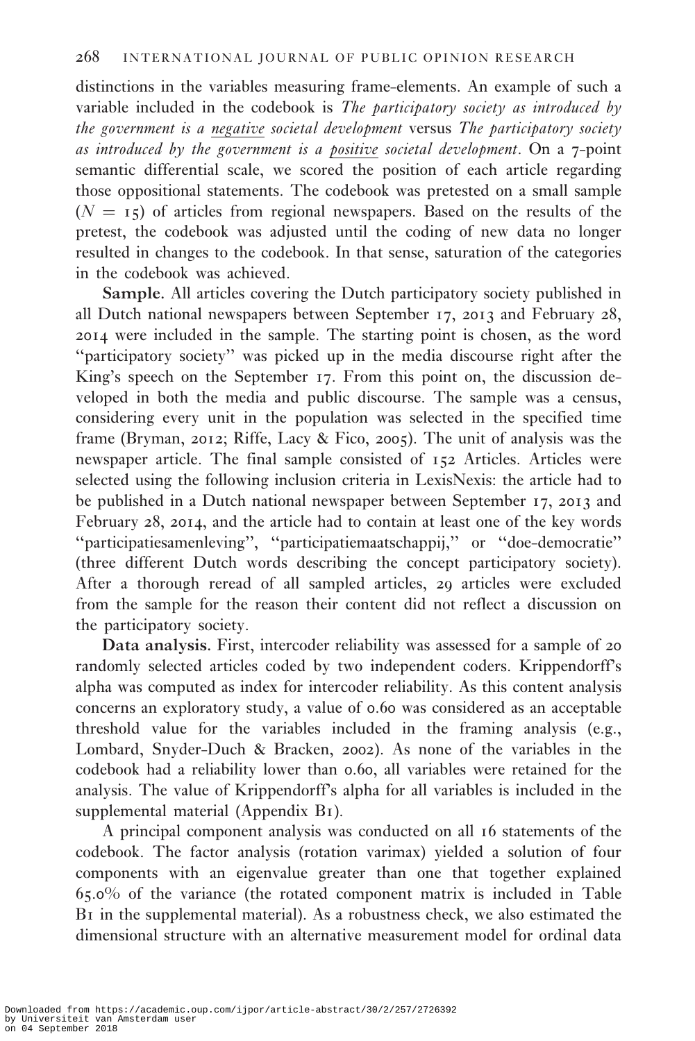distinctions in the variables measuring frame-elements. An example of such a variable included in the codebook is The participatory society as introduced by the government is a negative societal development versus The participatory society as introduced by the government is a positive societal development. On a 7-point semantic differential scale, we scored the position of each article regarding those oppositional statements. The codebook was pretested on a small sample  $(N = 15)$  of articles from regional newspapers. Based on the results of the pretest, the codebook was adjusted until the coding of new data no longer resulted in changes to the codebook. In that sense, saturation of the categories in the codebook was achieved.

Sample. All articles covering the Dutch participatory society published in all Dutch national newspapers between September 17, 2013 and February 28, 2014 were included in the sample. The starting point is chosen, as the word "participatory society" was picked up in the media discourse right after the King's speech on the September 17. From this point on, the discussion developed in both the media and public discourse. The sample was a census, considering every unit in the population was selected in the specified time frame [\(Bryman,](#page-23-0) 2012; [Riffe, Lacy & Fico,](#page-24-0) 2005). The unit of analysis was the newspaper article. The final sample consisted of 152 Articles. Articles were selected using the following inclusion criteria in LexisNexis: the article had to be published in a Dutch national newspaper between September 17, 2013 and February 28, 2014, and the article had to contain at least one of the key words ''participatiesamenleving'', ''participatiemaatschappij,'' or ''doe-democratie'' (three different Dutch words describing the concept participatory society). After a thorough reread of all sampled articles, 29 articles were excluded from the sample for the reason their content did not reflect a discussion on the participatory society.

Data analysis. First, intercoder reliability was assessed for a sample of 20 randomly selected articles coded by two independent coders. Krippendorff's alpha was computed as index for intercoder reliability. As this content analysis concerns an exploratory study, a value of 0.60 was considered as an acceptable threshold value for the variables included in the framing analysis (e.g., [Lombard, Snyder-Duch & Bracken,](#page-24-0) 2002). As none of the variables in the codebook had a reliability lower than 0.60, all variables were retained for the analysis. The value of Krippendorff's alpha for all variables is included in the [supplemental material \(Appendix B](http://ijpor.oxfordjournals.org/lookup/suppl/doi:10.1093/ijpor/edw032/-/DC1)1).

A principal component analysis was conducted on all 16 statements of the codebook. The factor analysis (rotation varimax) yielded a solution of four components with an eigenvalue greater than one that together explained 65.0% of the variance (the rotated component matrix is included in [Table](#page-14-0) [B](#page-14-0)1 in the supplemental material). As a robustness check, we also estimated the dimensional structure with an alternative measurement model for ordinal data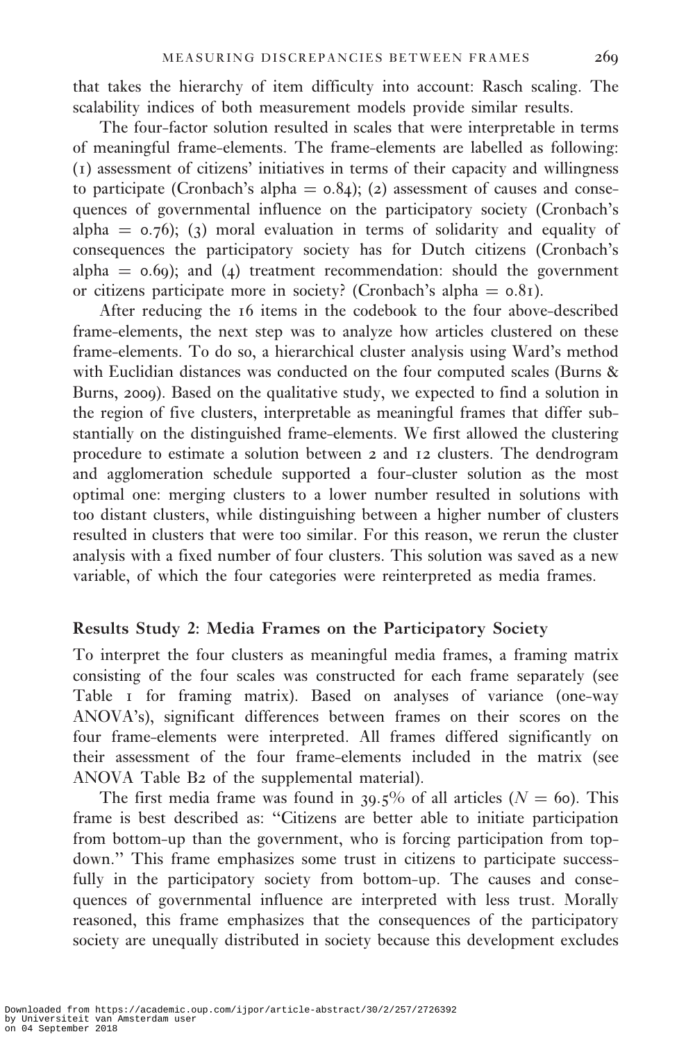that takes the hierarchy of item difficulty into account: Rasch scaling. The scalability indices of both measurement models provide similar results.

The four-factor solution resulted in scales that were interpretable in terms of meaningful frame-elements. The frame-elements are labelled as following: (1) assessment of citizens' initiatives in terms of their capacity and willingness to participate (Cronbach's alpha  $= 0.84$ ); (2) assessment of causes and consequences of governmental influence on the participatory society (Cronbach's alpha  $= 0.76$ ; (3) moral evaluation in terms of solidarity and equality of consequences the participatory society has for Dutch citizens (Cronbach's alpha  $= 0.69$ ; and (4) treatment recommendation: should the government or citizens participate more in society? (Cronbach's alpha =  $0.81$ ).

After reducing the 16 items in the codebook to the four above-described frame-elements, the next step was to analyze how articles clustered on these frame-elements. To do so, a hierarchical cluster analysis using Ward's method with Euclidian distances was conducted on the four computed scales ([Burns &](#page-23-0) [Burns,](#page-23-0) 2009). Based on the qualitative study, we expected to find a solution in the region of five clusters, interpretable as meaningful frames that differ substantially on the distinguished frame-elements. We first allowed the clustering procedure to estimate a solution between 2 and 12 clusters. The dendrogram and agglomeration schedule supported a four-cluster solution as the most optimal one: merging clusters to a lower number resulted in solutions with too distant clusters, while distinguishing between a higher number of clusters resulted in clusters that were too similar. For this reason, we rerun the cluster analysis with a fixed number of four clusters. This solution was saved as a new variable, of which the four categories were reinterpreted as media frames.

#### Results Study 2: Media Frames on the Participatory Society

To interpret the four clusters as meaningful media frames, a framing matrix consisting of the four scales was constructed for each frame separately (see [Table](#page-14-0) 1 for framing matrix). Based on analyses of variance (one-way ANOVA's), significant differences between frames on their scores on the four frame-elements were interpreted. All frames differed significantly on their assessment of the four frame-elements included in the matrix (see ANOVA [Table B](#page-14-0)2 of the [supplemental material](http://ijpor.oxfordjournals.org/lookup/suppl/doi:10.1093/ijpor/edw032/-/DC1)).

The first media frame was found in 39.5% of all articles ( $N = 60$ ). This frame is best described as: ''Citizens are better able to initiate participation from bottom-up than the government, who is forcing participation from topdown.'' This frame emphasizes some trust in citizens to participate successfully in the participatory society from bottom-up. The causes and consequences of governmental influence are interpreted with less trust. Morally reasoned, this frame emphasizes that the consequences of the participatory society are unequally distributed in society because this development excludes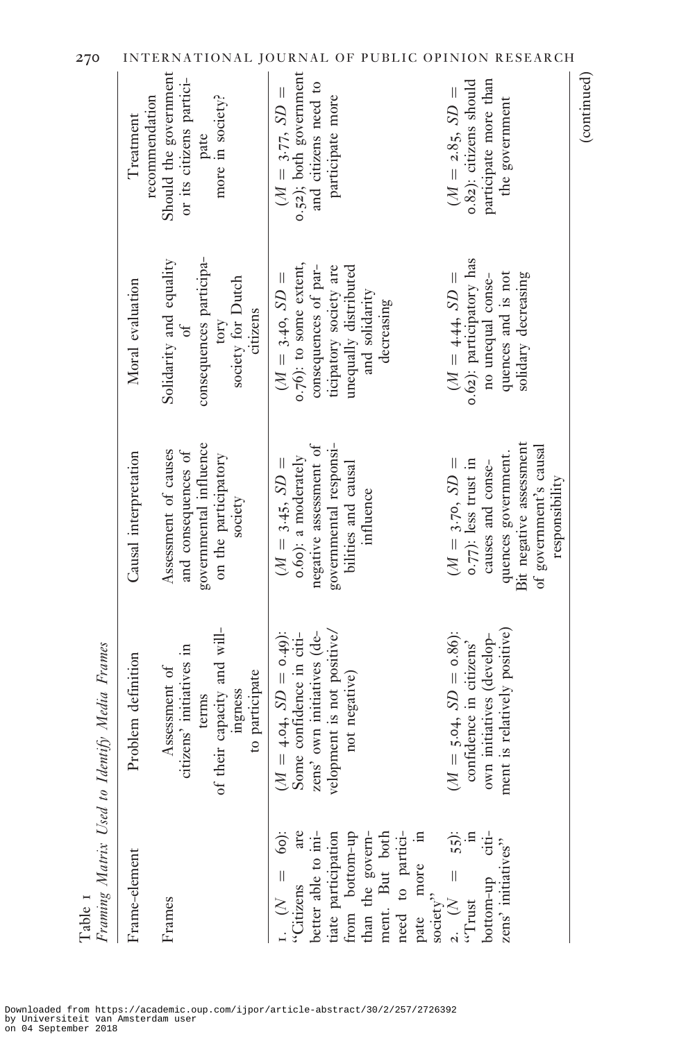<span id="page-14-0"></span>

| 270                                          |                             |                                                                                                                |                                                                                                                                                                                                                                                                                                                                                                                 |                                                                                                                                                              |
|----------------------------------------------|-----------------------------|----------------------------------------------------------------------------------------------------------------|---------------------------------------------------------------------------------------------------------------------------------------------------------------------------------------------------------------------------------------------------------------------------------------------------------------------------------------------------------------------------------|--------------------------------------------------------------------------------------------------------------------------------------------------------------|
|                                              | recommendation<br>Treatment | Should the government<br>or its citizens partici-<br>more in society?<br>pate                                  | o.52); both government<br>and citizens need to<br>$(M = 3.77, SD =$<br>participate more                                                                                                                                                                                                                                                                                         | participate more than<br>o.82): citizens should<br>$(M = 2.85, SD =$<br>the government                                                                       |
|                                              | Moral evaluation            | consequences participa-<br>Solidarity and equality<br>society for Dutch<br>citizens<br>tory                    | o.76): to some extent,<br>consequences of par-<br>ticipatory society are<br>unequally distributed<br>$(M = 3.40, SD)$<br>and solidarity<br>decreasing                                                                                                                                                                                                                           | o.62): participatory has<br>quences and is not<br>solidary decreasing<br>$(M = 4.44, SD =$<br>no unequal conse-                                              |
|                                              | Causal interpretation       | governmental influence<br>Assessment of causes<br>and consequences of<br>on the participatory<br>society       | negative assessment of<br>governmental responsi-<br>o.60): a moderately<br>$(M = 3.45, SD =$<br>bilities and causal<br>influence                                                                                                                                                                                                                                                | Bit negative assessment<br>of government's causal<br>quences government.<br>o.77): less trust in<br>$(M = 3.70, SD =$<br>causes and conse-<br>responsibility |
| Framing Matrix Used to Identify Media Frames | Problem definition          | of their capacity and will-<br>citizens' initiatives in<br>Assessment of<br>to participate<br>ingness<br>terms | Some confidence in citi-<br>own initiatives (de-<br>velopment is not positive/<br>$M = 4.04$ , $SD = 0.49$ :<br>not negative)<br>zens'                                                                                                                                                                                                                                          | ment is relatively positive)<br>5.04, $SD = 0.86$ ):<br>initiatives (develop-<br>confidence in citizens'<br>$=$ W)<br>$\frac{1}{2}$                          |
| Table 1                                      | Frame-element               | Frames                                                                                                         | $\begin{array}{ll} \text{I.} & (N) = \text{60):}\\ \text{``Gitzens} & \text{are}\\ \text{better able to init-}\\ \text{itate participation} & \text{bation}\\ \text{from} & \text{bottom-up}\\ \text{then. But both}\\ \text{ment. But both}\\ \text{need to partici-}\\ \text{need} & \text{to} \text{ partici-}\\ \end{array}$<br>pate more<br>${\rm society}^{\prime\prime}$ | bottom-up citi-<br>zens' initiatives"<br>$\parallel$<br>2. $(N$<br>"Trust                                                                                    |

(continued)

(continued)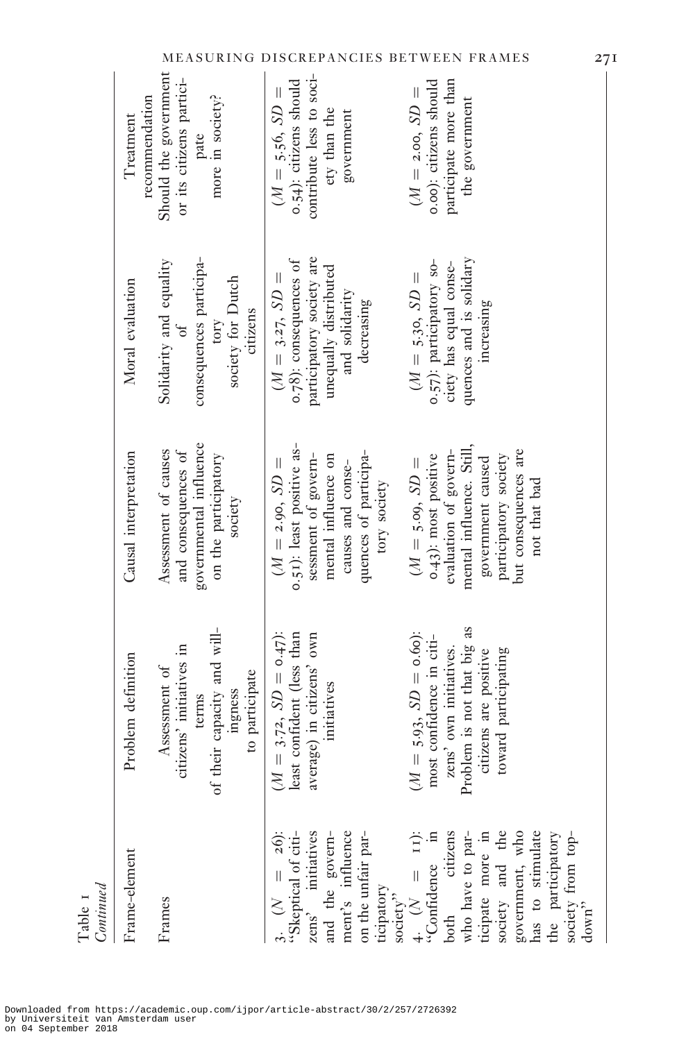| Continued<br>Table 1                                                                   |                                                                                                                                                                |                                                                                                                                                                                      |                                                                                                                                   |                                                                                                       |
|----------------------------------------------------------------------------------------|----------------------------------------------------------------------------------------------------------------------------------------------------------------|--------------------------------------------------------------------------------------------------------------------------------------------------------------------------------------|-----------------------------------------------------------------------------------------------------------------------------------|-------------------------------------------------------------------------------------------------------|
| Frame-element                                                                          | Problem definition                                                                                                                                             | Causal interpretation                                                                                                                                                                | Moral evaluation                                                                                                                  | recommendation<br>Treatment                                                                           |
| Frames                                                                                 | of their capacity and will-<br>citizens' initiatives in<br>Assessment of<br>to participate<br>ingness<br>terms                                                 | governmental influence<br>Assessment of causes<br>and consequences of<br>on the participatory<br>society                                                                             | consequences participa-<br>Solidarity and equality<br>society for Dutch<br>citizens<br>tory<br>ð                                  | Should the government<br>or its citizens partici-<br>more in society?<br>pate                         |
|                                                                                        | least confident (less than<br>$(M = 3.72, SD = 0.47)$ :<br>average) in citizens' own<br>initiatives                                                            | o.51): least positive as-<br>quences of participa-<br>sessment of govern-<br>mental influence on<br>$(M = 2.90, SD =$<br>causes and conse-<br>tory society                           | participatory society are<br>o.78): consequences of<br>unequally distributed<br>$(M = 3.27, SD =$<br>and solidarity<br>decreasing | contribute less to soci-<br>o.54): citizens should<br>$(M = 5.56, SD =$<br>ety than the<br>government |
| government, who<br>has to stimulate<br>the participatory<br>society from top-<br>down' | zens' own initiatives.<br>Problem is not that big as<br>$(M = 5.93, SD = 0.60)$ :<br>most confidence in citi-<br>citizens are positive<br>toward participating | mental influence. Still,<br>but consequences are<br>evaluation of govern-<br>participatory society<br>0.43): most positive<br>government caused<br>$(M = 5.09, SD =$<br>not that bad | quences and is solidary<br>o.57): participatory so-<br>ciety has equal conse-<br>$(M = 5.30, SD =$<br>increasing                  | participate more than<br>o.oo): citizens should<br>$(M = 2.00, SD =$<br>the government                |
|                                                                                        |                                                                                                                                                                |                                                                                                                                                                                      |                                                                                                                                   |                                                                                                       |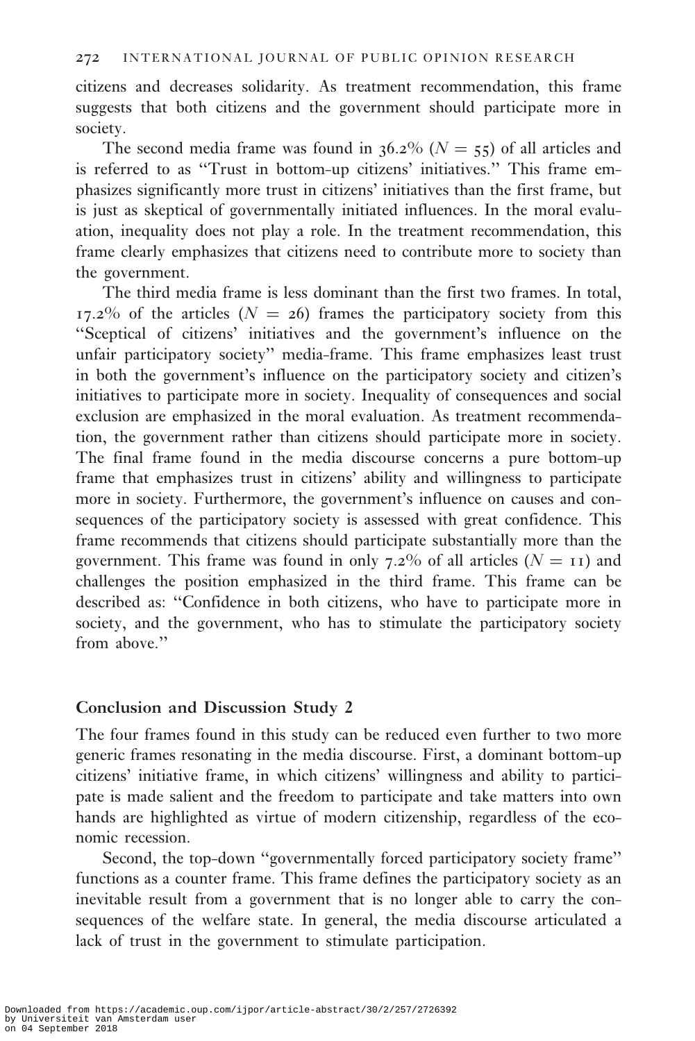citizens and decreases solidarity. As treatment recommendation, this frame suggests that both citizens and the government should participate more in society.

The second media frame was found in  $36.2\%$  ( $N = 55$ ) of all articles and is referred to as ''Trust in bottom-up citizens' initiatives.'' This frame emphasizes significantly more trust in citizens' initiatives than the first frame, but is just as skeptical of governmentally initiated influences. In the moral evaluation, inequality does not play a role. In the treatment recommendation, this frame clearly emphasizes that citizens need to contribute more to society than the government.

The third media frame is less dominant than the first two frames. In total, 17.2% of the articles  $(N = 26)$  frames the participatory society from this ''Sceptical of citizens' initiatives and the government's influence on the unfair participatory society'' media-frame. This frame emphasizes least trust in both the government's influence on the participatory society and citizen's initiatives to participate more in society. Inequality of consequences and social exclusion are emphasized in the moral evaluation. As treatment recommendation, the government rather than citizens should participate more in society. The final frame found in the media discourse concerns a pure bottom-up frame that emphasizes trust in citizens' ability and willingness to participate more in society. Furthermore, the government's influence on causes and consequences of the participatory society is assessed with great confidence. This frame recommends that citizens should participate substantially more than the government. This frame was found in only 7.2% of all articles  $(N = 11)$  and challenges the position emphasized in the third frame. This frame can be described as: ''Confidence in both citizens, who have to participate more in society, and the government, who has to stimulate the participatory society from above.''

#### Conclusion and Discussion Study 2

The four frames found in this study can be reduced even further to two more generic frames resonating in the media discourse. First, a dominant bottom-up citizens' initiative frame, in which citizens' willingness and ability to participate is made salient and the freedom to participate and take matters into own hands are highlighted as virtue of modern citizenship, regardless of the economic recession.

Second, the top-down ''governmentally forced participatory society frame'' functions as a counter frame. This frame defines the participatory society as an inevitable result from a government that is no longer able to carry the consequences of the welfare state. In general, the media discourse articulated a lack of trust in the government to stimulate participation.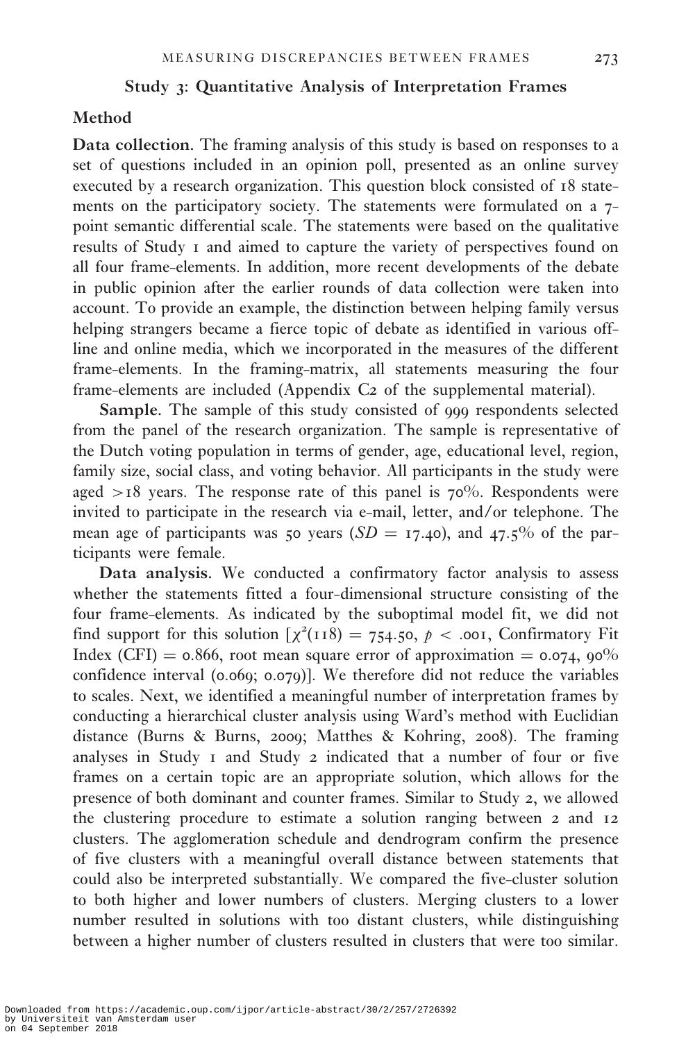#### Study 3: Quantitative Analysis of Interpretation Frames

#### Method

Data collection. The framing analysis of this study is based on responses to a set of questions included in an opinion poll, presented as an online survey executed by a research organization. This question block consisted of 18 statements on the participatory society. The statements were formulated on a 7 point semantic differential scale. The statements were based on the qualitative results of Study 1 and aimed to capture the variety of perspectives found on all four frame-elements. In addition, more recent developments of the debate in public opinion after the earlier rounds of data collection were taken into account. To provide an example, the distinction between helping family versus helping strangers became a fierce topic of debate as identified in various offline and online media, which we incorporated in the measures of the different frame-elements. In the framing-matrix, all statements measuring the four frame-elements are included (Appendix C<sub>2</sub> [of the supplemental material](http://ijpor.oxfordjournals.org/lookup/suppl/doi:10.1093/ijpor/edw032/-/DC1)).

Sample. The sample of this study consisted of 999 respondents selected from the panel of the research organization. The sample is representative of the Dutch voting population in terms of gender, age, educational level, region, family size, social class, and voting behavior. All participants in the study were aged  $>18$  years. The response rate of this panel is  $70\%$ . Respondents were invited to participate in the research via e-mail, letter, and/or telephone. The mean age of participants was 50 years ( $SD = 17.40$ ), and 47.5% of the participants were female.

Data analysis. We conducted a confirmatory factor analysis to assess whether the statements fitted a four-dimensional structure consisting of the four frame-elements. As indicated by the suboptimal model fit, we did not find support for this solution  $[\chi^2(118) = 754.50, p < .001,$  Confirmatory Fit Index (CFI) =  $0.866$ , root mean square error of approximation =  $0.074$ ,  $90\%$ confidence interval (0.069; 0.079)]. We therefore did not reduce the variables to scales. Next, we identified a meaningful number of interpretation frames by conducting a hierarchical cluster analysis using Ward's method with Euclidian distance [\(Burns & Burns,](#page-23-0) 2009; [Matthes & Kohring,](#page-24-0) 2008). The framing analyses in Study 1 and Study 2 indicated that a number of four or five frames on a certain topic are an appropriate solution, which allows for the presence of both dominant and counter frames. Similar to Study 2, we allowed the clustering procedure to estimate a solution ranging between 2 and 12 clusters. The agglomeration schedule and dendrogram confirm the presence of five clusters with a meaningful overall distance between statements that could also be interpreted substantially. We compared the five-cluster solution to both higher and lower numbers of clusters. Merging clusters to a lower number resulted in solutions with too distant clusters, while distinguishing between a higher number of clusters resulted in clusters that were too similar.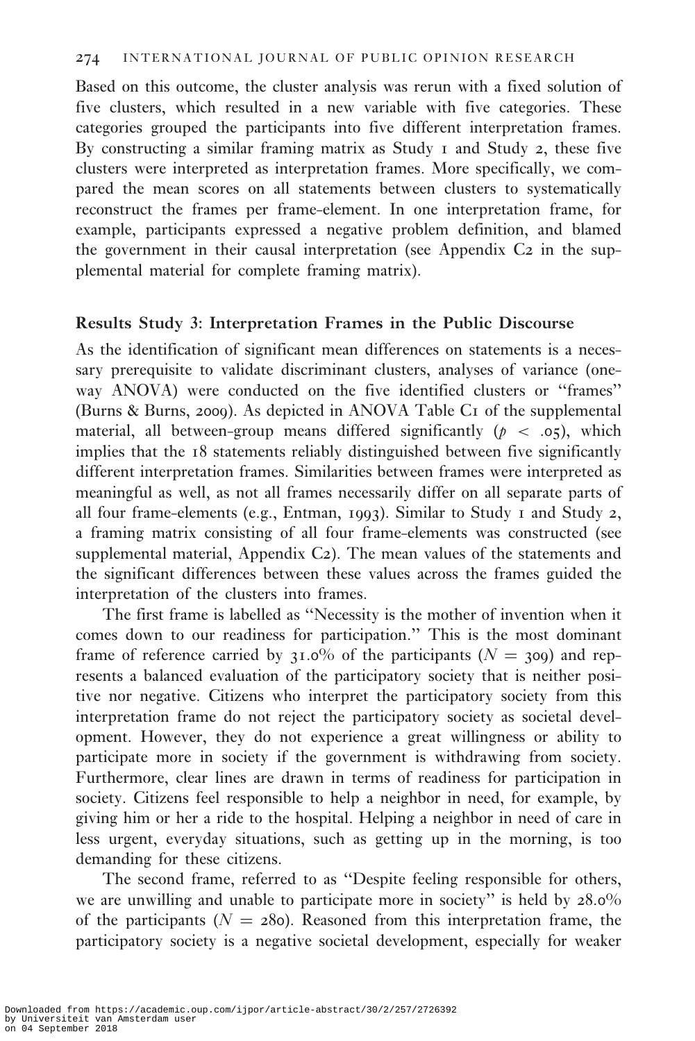Based on this outcome, the cluster analysis was rerun with a fixed solution of five clusters, which resulted in a new variable with five categories. These categories grouped the participants into five different interpretation frames. By constructing a similar framing matrix as Study  $\sigma$  and Study 2, these five clusters were interpreted as interpretation frames. More specifically, we compared the mean scores on all statements between clusters to systematically reconstruct the frames per frame-element. In one interpretation frame, for example, participants expressed a negative problem definition, and blamed the government in their causal interpretation (see Appendix  $C_2$  in the sup[plemental material](http://ijpor.oxfordjournals.org/lookup/suppl/doi:10.1093/ijpor/edw032/-/DC1) for complete framing matrix).

#### Results Study 3: Interpretation Frames in the Public Discourse

As the identification of significant mean differences on statements is a necessary prerequisite to validate discriminant clusters, analyses of variance (oneway ANOVA) were conducted on the five identified clusters or ''frames'' ([Burns & Burns,](#page-23-0) 2009). As depicted in ANOVA [Table C](#page-14-0)1 of the supplemental material, all between-group means differed significantly ( $p \le 0.05$ ), which implies that the 18 statements reliably distinguished between five significantly different interpretation frames. Similarities between frames were interpreted as meaningful as well, as not all frames necessarily differ on all separate parts of all four frame-elements (e.g., [Entman,](#page-24-0) 1993). Similar to Study 1 and Study 2, a framing matrix consisting of all four frame-elements was constructed (see supplemental material, Appendix  $C_2$ ). The mean values of the statements and the significant differences between these values across the frames guided the interpretation of the clusters into frames.

The first frame is labelled as ''Necessity is the mother of invention when it comes down to our readiness for participation.'' This is the most dominant frame of reference carried by 31.0% of the participants ( $N = 300$ ) and represents a balanced evaluation of the participatory society that is neither positive nor negative. Citizens who interpret the participatory society from this interpretation frame do not reject the participatory society as societal development. However, they do not experience a great willingness or ability to participate more in society if the government is withdrawing from society. Furthermore, clear lines are drawn in terms of readiness for participation in society. Citizens feel responsible to help a neighbor in need, for example, by giving him or her a ride to the hospital. Helping a neighbor in need of care in less urgent, everyday situations, such as getting up in the morning, is too demanding for these citizens.

The second frame, referred to as ''Despite feeling responsible for others, we are unwilling and unable to participate more in society'' is held by 28.0% of the participants ( $N = 280$ ). Reasoned from this interpretation frame, the participatory society is a negative societal development, especially for weaker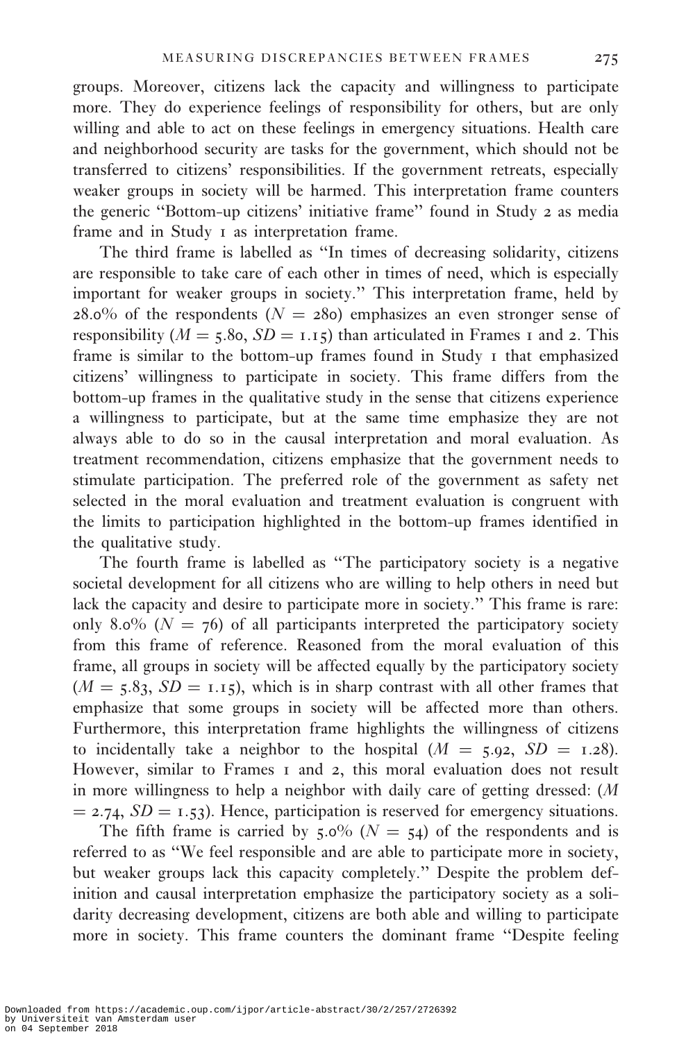groups. Moreover, citizens lack the capacity and willingness to participate more. They do experience feelings of responsibility for others, but are only willing and able to act on these feelings in emergency situations. Health care and neighborhood security are tasks for the government, which should not be transferred to citizens' responsibilities. If the government retreats, especially weaker groups in society will be harmed. This interpretation frame counters the generic ''Bottom-up citizens' initiative frame'' found in Study 2 as media frame and in Study 1 as interpretation frame.

The third frame is labelled as ''In times of decreasing solidarity, citizens are responsible to take care of each other in times of need, which is especially important for weaker groups in society.'' This interpretation frame, held by  $28.0\%$  of the respondents ( $N = 280$ ) emphasizes an even stronger sense of responsibility ( $M = 5.8$ o,  $SD = 1.15$ ) than articulated in Frames 1 and 2. This frame is similar to the bottom-up frames found in Study 1 that emphasized citizens' willingness to participate in society. This frame differs from the bottom-up frames in the qualitative study in the sense that citizens experience a willingness to participate, but at the same time emphasize they are not always able to do so in the causal interpretation and moral evaluation. As treatment recommendation, citizens emphasize that the government needs to stimulate participation. The preferred role of the government as safety net selected in the moral evaluation and treatment evaluation is congruent with the limits to participation highlighted in the bottom-up frames identified in the qualitative study.

The fourth frame is labelled as ''The participatory society is a negative societal development for all citizens who are willing to help others in need but lack the capacity and desire to participate more in society.'' This frame is rare: only 8.0% ( $N = 76$ ) of all participants interpreted the participatory society from this frame of reference. Reasoned from the moral evaluation of this frame, all groups in society will be affected equally by the participatory society  $(M = 5.83, SD = 1.15)$ , which is in sharp contrast with all other frames that emphasize that some groups in society will be affected more than others. Furthermore, this interpretation frame highlights the willingness of citizens to incidentally take a neighbor to the hospital  $(M = 5.92, SD = 1.28)$ . However, similar to Frames 1 and 2, this moral evaluation does not result in more willingness to help a neighbor with daily care of getting dressed: (M  $= 2.74$ ,  $SD = 1.53$ ). Hence, participation is reserved for emergency situations.

The fifth frame is carried by 5.0% ( $N = 54$ ) of the respondents and is referred to as ''We feel responsible and are able to participate more in society, but weaker groups lack this capacity completely.'' Despite the problem definition and causal interpretation emphasize the participatory society as a solidarity decreasing development, citizens are both able and willing to participate more in society. This frame counters the dominant frame ''Despite feeling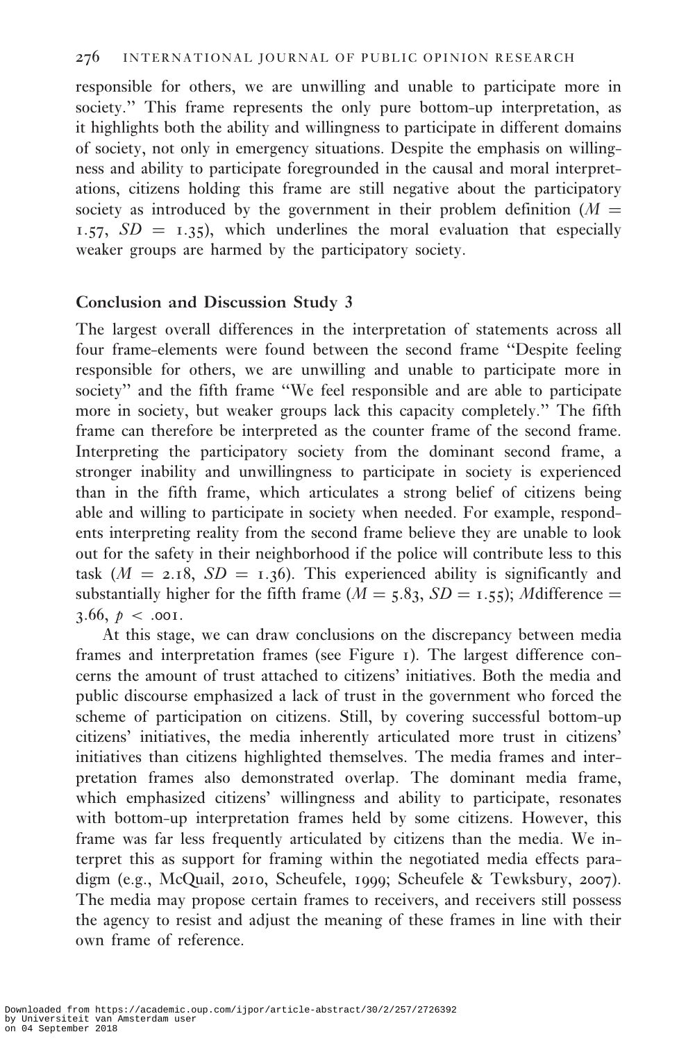responsible for others, we are unwilling and unable to participate more in society." This frame represents the only pure bottom-up interpretation, as it highlights both the ability and willingness to participate in different domains of society, not only in emergency situations. Despite the emphasis on willingness and ability to participate foregrounded in the causal and moral interpretations, citizens holding this frame are still negative about the participatory society as introduced by the government in their problem definition  $(M =$  $1.57$ ,  $SD = 1.35$ ), which underlines the moral evaluation that especially weaker groups are harmed by the participatory society.

# Conclusion and Discussion Study 3

The largest overall differences in the interpretation of statements across all four frame-elements were found between the second frame ''Despite feeling responsible for others, we are unwilling and unable to participate more in society'' and the fifth frame ''We feel responsible and are able to participate more in society, but weaker groups lack this capacity completely.'' The fifth frame can therefore be interpreted as the counter frame of the second frame. Interpreting the participatory society from the dominant second frame, a stronger inability and unwillingness to participate in society is experienced than in the fifth frame, which articulates a strong belief of citizens being able and willing to participate in society when needed. For example, respondents interpreting reality from the second frame believe they are unable to look out for the safety in their neighborhood if the police will contribute less to this task  $(M = 2.18, SD = 1.36)$ . This experienced ability is significantly and substantially higher for the fifth frame ( $M = 5.83$ ,  $SD = 1.55$ ); Mdifference =  $3.66, p < .001$ .

At this stage, we can draw conclusions on the discrepancy between media frames and interpretation frames (see [Figure](#page-21-0) 1). The largest difference concerns the amount of trust attached to citizens' initiatives. Both the media and public discourse emphasized a lack of trust in the government who forced the scheme of participation on citizens. Still, by covering successful bottom-up citizens' initiatives, the media inherently articulated more trust in citizens' initiatives than citizens highlighted themselves. The media frames and interpretation frames also demonstrated overlap. The dominant media frame, which emphasized citizens' willingness and ability to participate, resonates with bottom-up interpretation frames held by some citizens. However, this frame was far less frequently articulated by citizens than the media. We interpret this as support for framing within the negotiated media effects paradigm (e.g., [McQuail,](#page-24-0) 2010, [Scheufele,](#page-24-0) 1999; [Scheufele & Tewksbury,](#page-24-0) 2007). The media may propose certain frames to receivers, and receivers still possess the agency to resist and adjust the meaning of these frames in line with their own frame of reference.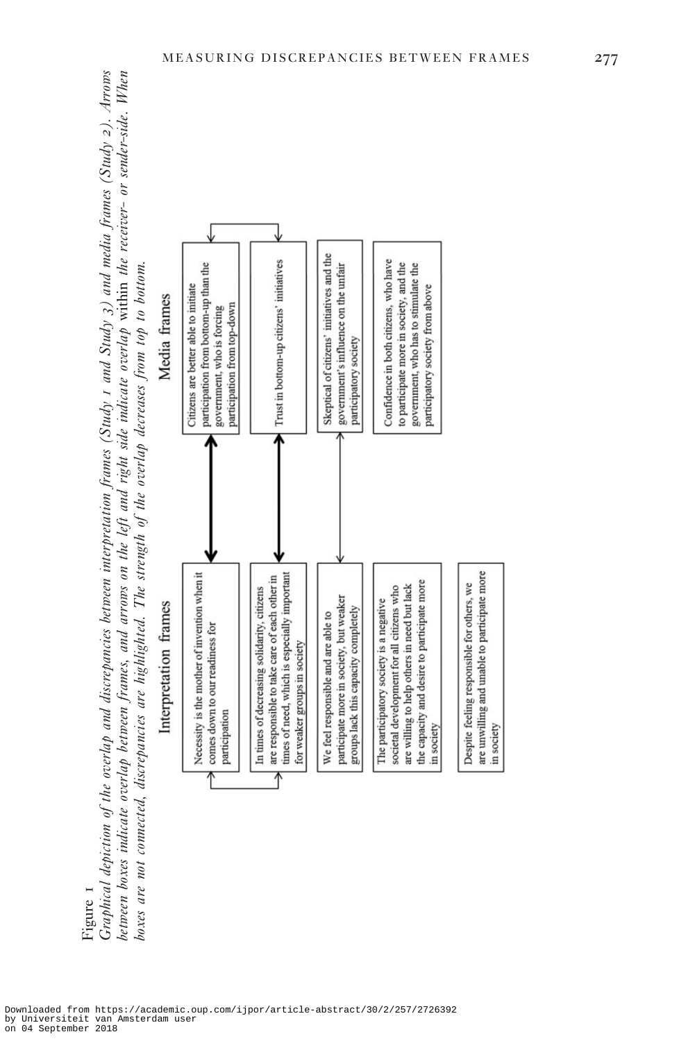

<span id="page-21-0"></span>Figure 1<br>Graphical depiction of the overlap and discrepancies between interpretation frames (Study 1 and Study 3) and media frames (Study 2). Arrows between boxes indicate overlap between frames, and arrows on the left and right side indicate overlap within the receiver- or sender-side. When Graphical depiction of the overlap and discrepancies between interpretation frames (Study 1 and Study 3) and media frames (Study 2). Arrows between boxes indicate overlap between frames, and arrows on the left and right side indicate overlap within the receiver- or sender-side. When boxes are not connected, discrepancies are highlighted. The strength of the overlap decreases from top to bottom boxes are not connected, discrepancies are highlighted. The strength of the overlap decreases from top to bottom.

in society

Downloaded from https://academic.oup.com/ijpor/article-abstract/30/2/257/2726392 by Universiteit van Amsterdam user on 04 September 2018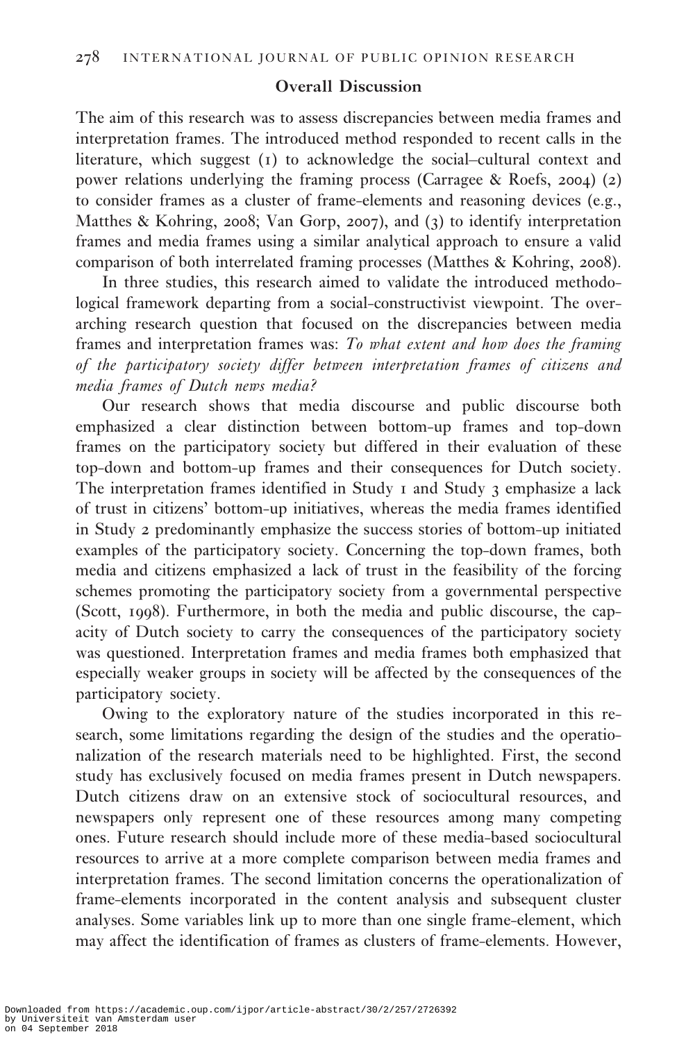#### Overall Discussion

The aim of this research was to assess discrepancies between media frames and interpretation frames. The introduced method responded to recent calls in the literature, which suggest (1) to acknowledge the social–cultural context and power relations underlying the framing process [\(Carragee & Roefs,](#page-24-0) 2004) (2) to consider frames as a cluster of frame-elements and reasoning devices (e.g., [Matthes & Kohring,](#page-24-0) 2008; [Van Gorp,](#page-25-0) 2007), and (3) to identify interpretation frames and media frames using a similar analytical approach to ensure a valid comparison of both interrelated framing processes ([Matthes & Kohring,](#page-24-0) 2008).

In three studies, this research aimed to validate the introduced methodological framework departing from a social-constructivist viewpoint. The overarching research question that focused on the discrepancies between media frames and interpretation frames was: To what extent and how does the framing of the participatory society differ between interpretation frames of citizens and media frames of Dutch news media?

Our research shows that media discourse and public discourse both emphasized a clear distinction between bottom-up frames and top-down frames on the participatory society but differed in their evaluation of these top-down and bottom-up frames and their consequences for Dutch society. The interpretation frames identified in Study 1 and Study 3 emphasize a lack of trust in citizens' bottom-up initiatives, whereas the media frames identified in Study 2 predominantly emphasize the success stories of bottom-up initiated examples of the participatory society. Concerning the top-down frames, both media and citizens emphasized a lack of trust in the feasibility of the forcing schemes promoting the participatory society from a governmental perspective ([Scott,](#page-24-0) 1998). Furthermore, in both the media and public discourse, the capacity of Dutch society to carry the consequences of the participatory society was questioned. Interpretation frames and media frames both emphasized that especially weaker groups in society will be affected by the consequences of the participatory society.

Owing to the exploratory nature of the studies incorporated in this research, some limitations regarding the design of the studies and the operationalization of the research materials need to be highlighted. First, the second study has exclusively focused on media frames present in Dutch newspapers. Dutch citizens draw on an extensive stock of sociocultural resources, and newspapers only represent one of these resources among many competing ones. Future research should include more of these media-based sociocultural resources to arrive at a more complete comparison between media frames and interpretation frames. The second limitation concerns the operationalization of frame-elements incorporated in the content analysis and subsequent cluster analyses. Some variables link up to more than one single frame-element, which may affect the identification of frames as clusters of frame-elements. However,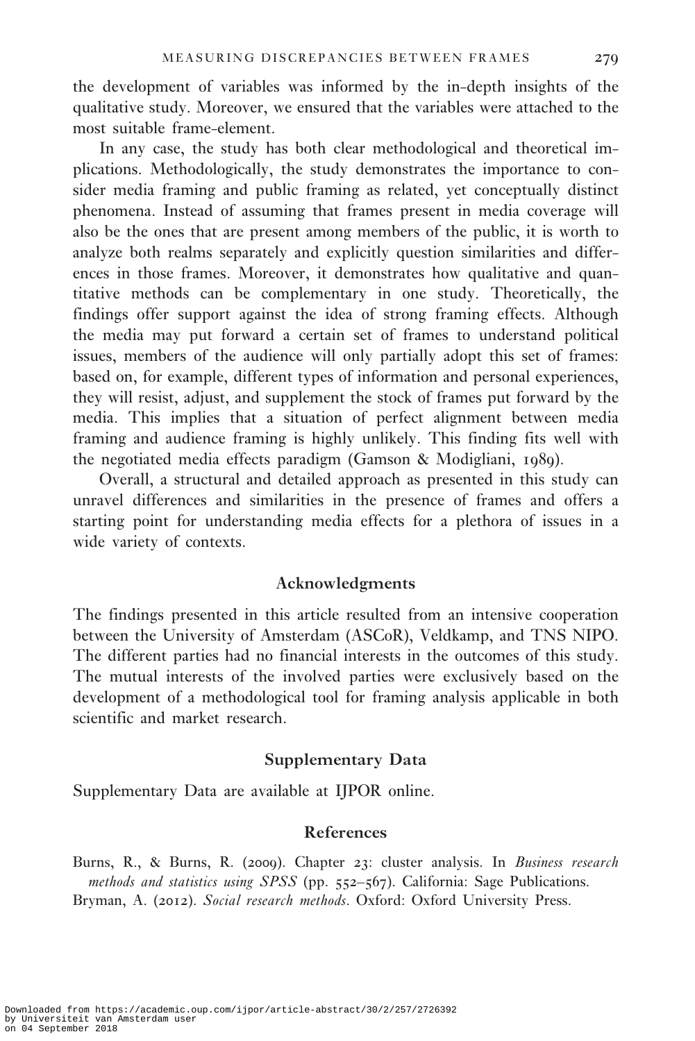<span id="page-23-0"></span>the development of variables was informed by the in-depth insights of the qualitative study. Moreover, we ensured that the variables were attached to the most suitable frame-element.

In any case, the study has both clear methodological and theoretical implications. Methodologically, the study demonstrates the importance to consider media framing and public framing as related, yet conceptually distinct phenomena. Instead of assuming that frames present in media coverage will also be the ones that are present among members of the public, it is worth to analyze both realms separately and explicitly question similarities and differences in those frames. Moreover, it demonstrates how qualitative and quantitative methods can be complementary in one study. Theoretically, the findings offer support against the idea of strong framing effects. Although the media may put forward a certain set of frames to understand political issues, members of the audience will only partially adopt this set of frames: based on, for example, different types of information and personal experiences, they will resist, adjust, and supplement the stock of frames put forward by the media. This implies that a situation of perfect alignment between media framing and audience framing is highly unlikely. This finding fits well with the negotiated media effects paradigm [\(Gamson & Modigliani,](#page-24-0) 1989).

Overall, a structural and detailed approach as presented in this study can unravel differences and similarities in the presence of frames and offers a starting point for understanding media effects for a plethora of issues in a wide variety of contexts.

#### Acknowledgments

The findings presented in this article resulted from an intensive cooperation between the University of Amsterdam (ASCoR), Veldkamp, and TNS NIPO. The different parties had no financial interests in the outcomes of this study. The mutual interests of the involved parties were exclusively based on the development of a methodological tool for framing analysis applicable in both scientific and market research.

#### Supplementary Data

[Supplementary Data](http://ijpor.oxfordjournals.org/lookup/suppl/doi:10.1093/ijpor/edw032/-/DC1) are available at IJPOR online.

#### References

Burns, R., & Burns, R. (2009). Chapter 23: cluster analysis. In Business research methods and statistics using SPSS (pp. 552-567). California: Sage Publications. Bryman, A. (2012). Social research methods. Oxford: Oxford University Press.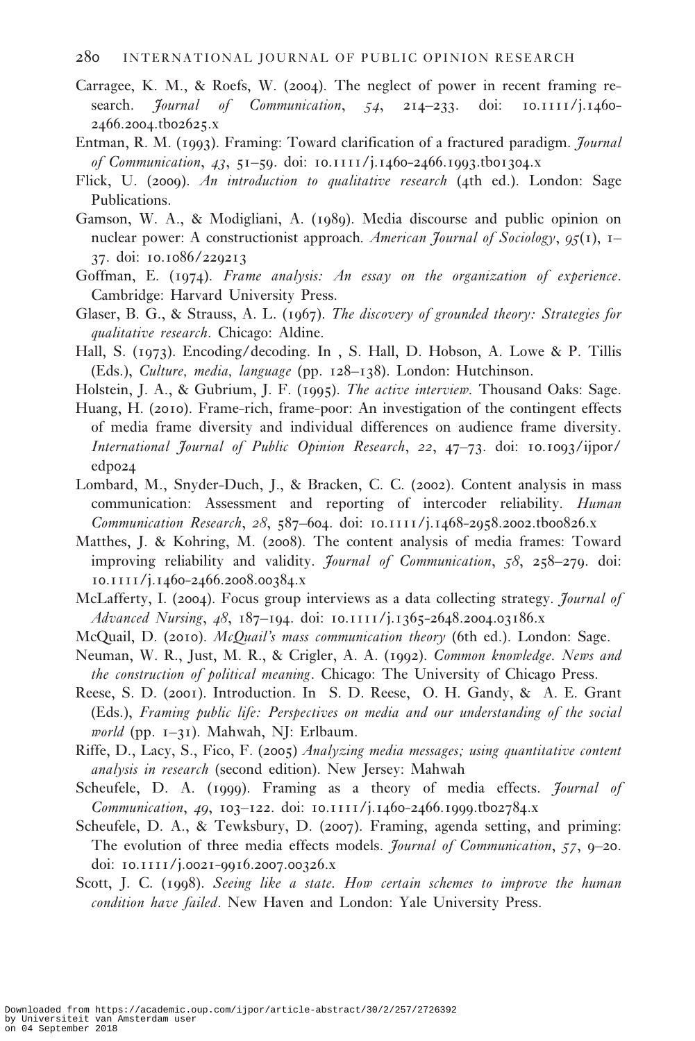- <span id="page-24-0"></span>Carragee, K. M., & Roefs, W. (2004). The neglect of power in recent framing research.  $\hat{\eta}$  *fournal of Communication*,  $\hat{\eta}$ ,  $214-233$ . doi:  $10.1111/\hat{1}$ .1460-2466.2004.tb02625.x
- Entman, R. M. (1993). Framing: Toward clarification of a fractured paradigm. Journal of Communication, 43, 51–59. doi: 10.1111/j.1460-2466.1993.tb01304.x
- Flick, U. (2009). An introduction to qualitative research (4th ed.). London: Sage Publications.
- Gamson, W. A., & Modigliani, A. (1989). Media discourse and public opinion on nuclear power: A constructionist approach. American Journal of Sociology,  $q\zeta(1)$ ,  $I_{\text{}}$ 37. doi: 10.1086/229213
- Goffman, E. (1974). Frame analysis: An essay on the organization of experience. Cambridge: Harvard University Press.
- Glaser, B. G., & Strauss, A. L. (1967). The discovery of grounded theory: Strategies for qualitative research. Chicago: Aldine.
- Hall, S. (1973). Encoding/decoding. In , S. Hall, D. Hobson, A. Lowe & P. Tillis (Eds.), Culture, media, language (pp. 128–138). London: Hutchinson.
- Holstein, J. A., & Gubrium, J. F. (1995). The active interview. Thousand Oaks: Sage.
- Huang, H. (2010). Frame-rich, frame-poor: An investigation of the contingent effects of media frame diversity and individual differences on audience frame diversity. International Journal of Public Opinion Research, 22, 47–73. doi: 10.1093/ijpor/ edp024
- Lombard, M., Snyder-Duch, J., & Bracken, C. C. (2002). Content analysis in mass communication: Assessment and reporting of intercoder reliability. Human Communication Research, 28, 587–604. doi: 10.1111/j.1468-2958.2002.tb00826.x
- Matthes, J. & Kohring, M. (2008). The content analysis of media frames: Toward improving reliability and validity. Journal of Communication, 58, 258–279. doi: 10.1111/j.1460-2466.2008.00384.x
- McLafferty, I. (2004). Focus group interviews as a data collecting strategy. *Journal of* Advanced Nursing, 48, 187-194. doi: 10.1111/j.1365-2648.2004.03186.x
- McQuail, D. (2010). *McQuail's mass communication theory* (6th ed.). London: Sage.
- Neuman, W. R., Just, M. R., & Crigler, A. A. (1992). Common knowledge. News and the construction of political meaning. Chicago: The University of Chicago Press.
- Reese, S. D. (2001). Introduction. In S. D. Reese, O. H. Gandy, & A. E. Grant (Eds.), Framing public life: Perspectives on media and our understanding of the social world (pp. 1–31). Mahwah, NJ: Erlbaum.
- Riffe, D., Lacy, S., Fico, F. (2005) Analyzing media messages; using quantitative content analysis in research (second edition). New Jersey: Mahwah
- Scheufele, D. A. (1999). Framing as a theory of media effects. Journal of Communication, 49, 103–122. doi: 10.1111/j.1460-2466.1999.tb02784.x
- Scheufele, D. A., & Tewksbury, D. (2007). Framing, agenda setting, and priming: The evolution of three media effects models. *Journal of Communication*, 57, 9–20. doi: 10.1111/j.0021-9916.2007.00326.x
- Scott, J. C. (1998). Seeing like a state. How certain schemes to improve the human condition have failed. New Haven and London: Yale University Press.